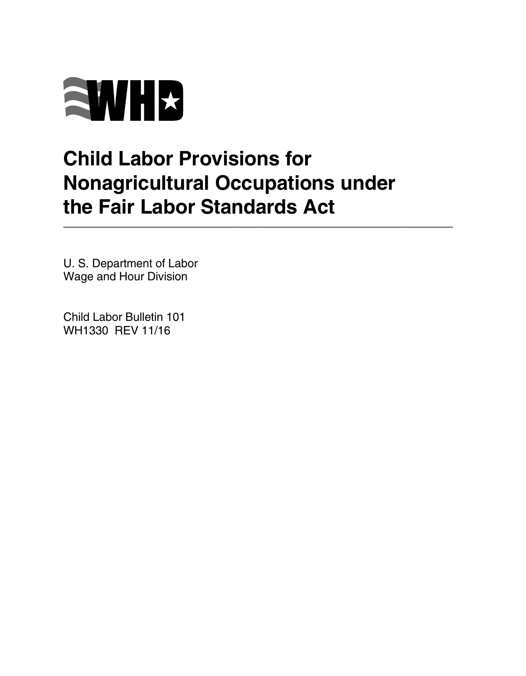

# **Child Labor Provisions for Nonagricultural Occupations under the Fair Labor Standards Act \_\_\_\_\_\_\_\_\_\_\_\_\_\_\_\_\_\_\_\_\_\_\_\_\_\_\_\_\_\_\_\_\_\_\_\_\_\_\_\_\_\_\_\_\_\_\_\_\_\_\_\_\_\_\_\_\_\_\_\_\_\_\_\_\_\_\_\_\_\_\_\_\_\_\_\_\_\_\_**

U. S. Department of Labor Wage and Hour Division

Child Labor Bulletin 101 WH1330 REV 11/16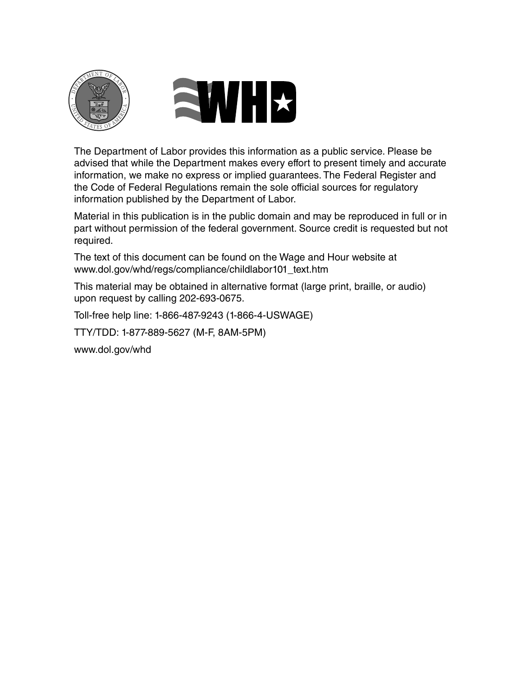

The Department of Labor provides this information as a public service. Please be advised that while the Department makes every effort to present timely and accurate information, we make no express or implied guarantees. The Federal Register and the Code of Federal Regulations remain the sole official sources for regulatory information published by the Department of Labor.

Material in this publication is in the public domain and may be reproduced in full or in part without permission of the federal government. Source credit is requested but not required.

The text of this document can be found on the Wage and Hour website at www.dol.gov/whd/regs/compliance/childlabor101\_text.htm

This material may be obtained in alternative format (large print, braille, or audio) upon request by calling 202-693-0675.

Toll-free help line: 1-866-487-9243 (1-866-4-USWAGE)

TTY/TDD: 1-877-889-5627 (M-F, 8AM-5PM)

www.dol.gov/whd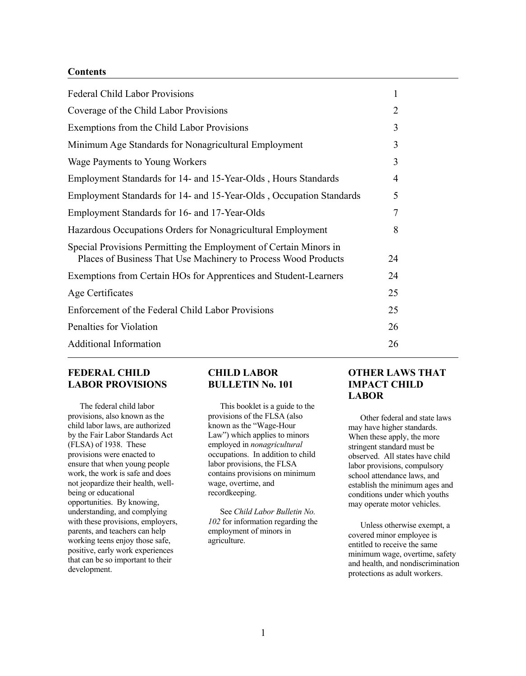### **Contents**

| <b>Federal Child Labor Provisions</b>                                                                                               | 1              |
|-------------------------------------------------------------------------------------------------------------------------------------|----------------|
| Coverage of the Child Labor Provisions                                                                                              | $\overline{2}$ |
| Exemptions from the Child Labor Provisions                                                                                          | 3              |
| Minimum Age Standards for Nonagricultural Employment                                                                                | 3              |
| Wage Payments to Young Workers                                                                                                      | 3              |
| Employment Standards for 14- and 15-Year-Olds, Hours Standards                                                                      | 4              |
| Employment Standards for 14- and 15-Year-Olds, Occupation Standards                                                                 | 5              |
| Employment Standards for 16- and 17-Year-Olds                                                                                       | 7              |
| Hazardous Occupations Orders for Nonagricultural Employment                                                                         | 8              |
| Special Provisions Permitting the Employment of Certain Minors in<br>Places of Business That Use Machinery to Process Wood Products | 24             |
| Exemptions from Certain HOs for Apprentices and Student-Learners                                                                    | 24             |
| Age Certificates                                                                                                                    | 25             |
| Enforcement of the Federal Child Labor Provisions                                                                                   | 25             |
| Penalties for Violation                                                                                                             | 26             |
| <b>Additional Information</b>                                                                                                       | 26             |

### **FEDERAL CHILD LABOR PROVISIONS**

The federal child labor provisions, also known as the child labor laws, are authorized by the Fair Labor Standards Act (FLSA) of 1938. These provisions were enacted to ensure that when young people work, the work is safe and does not jeopardize their health, wellbeing or educational opportunities. By knowing, understanding, and complying with these provisions, employers, parents, and teachers can help working teens enjoy those safe, positive, early work experiences that can be so important to their development.

### **CHILD LABOR BULLETIN No. 101**

This booklet is a guide to the provisions of the FLSA (also known as the "Wage-Hour Law") which applies to minors employed in *nonagricultural* occupations. In addition to child labor provisions, the FLSA contains provisions on minimum wage, overtime, and recordkeeping.

See *Child Labor Bulletin No. 102* for information regarding the employment of minors in agriculture.

### **OTHER LAWS THAT IMPACT CHILD LABOR**

Other federal and state laws may have higher standards. When these apply, the more stringent standard must be observed. All states have child labor provisions, compulsory school attendance laws, and establish the minimum ages and conditions under which youths may operate motor vehicles.

Unless otherwise exempt, a covered minor employee is entitled to receive the same minimum wage, overtime, safety and health, and nondiscrimination protections as adult workers.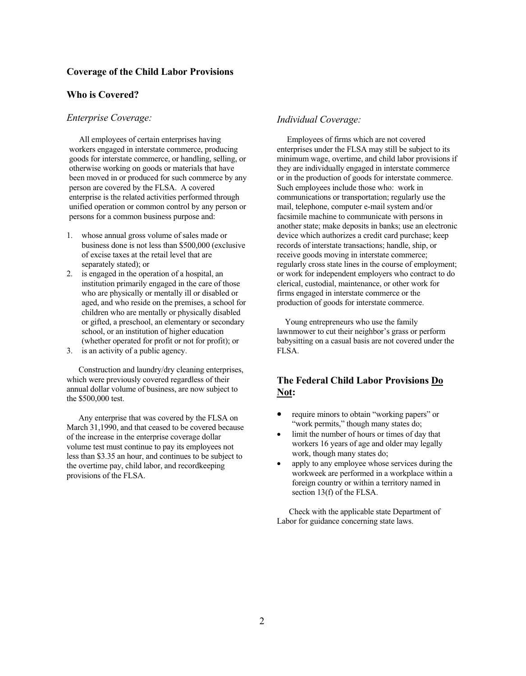### **Coverage of the Child Labor Provisions**

### **Who is Covered?**

#### *Enterprise Coverage:*

All employees of certain enterprises having workers engaged in interstate commerce, producing goods for interstate commerce, or handling, selling, or otherwise working on goods or materials that have been moved in or produced for such commerce by any person are covered by the FLSA. A covered enterprise is the related activities performed through unified operation or common control by any person or persons for a common business purpose and:

- 1. whose annual gross volume of sales made or business done is not less than  $$500,000$  (exclusive of excise taxes at the retail level that are separately stated); or
- 2. is engaged in the operation of a hospital, an institution primarily engaged in the care of those who are physically or mentally ill or disabled or aged, and who reside on the premises, a school for children who are mentally or physically disabled or gifted, a preschool, an elementary or secondary school, or an institution of higher education (whether operated for profit or not for profit); or
- 3. is an activity of a public agency.

Construction and laundry/dry cleaning enterprises, which were previously covered regardless of their annual dollar volume of business, are now subject to the \$500,000 test.

Any enterprise that was covered by the FLSA on March 31,1990, and that ceased to be covered because of the increase in the enterprise coverage dollar volume test must continue to pay its employees not less than \$3.35 an hour, and continues to be subject to the overtime pay, child labor, and recordkeeping provisions of the FLSA.

#### *Individual Coverage:*

Employees of firms which are not covered enterprises under the FLSA may still be subject to its minimum wage, overtime, and child labor provisions if they are individually engaged in interstate commerce or in the production of goods for interstate commerce. Such employees include those who: work in communications or transportation; regularly use the mail, telephone, computer e-mail system and/or facsimile machine to communicate with persons in another state; make deposits in banks; use an electronic device which authorizes a credit card purchase; keep records of interstate transactions; handle, ship, or receive goods moving in interstate commerce; regularly cross state lines in the course of employment; or work for independent employers who contract to do clerical, custodial, maintenance, or other work for firms engaged in interstate commerce or the production of goods for interstate commerce.

Young entrepreneurs who use the family lawn mower to cut their neighbor's grass or perform babysitting on a casual basis are not covered under the FLSA.

### **The Federal Child Labor Provisions Do Not:**

- require minors to obtain "working papers" or "work permits," though many states do;
- $\bullet$  limit the number of hours or times of day that workers 16 years of age and older may legally work, though many states do;
- apply to any employee whose services during the workweek are performed in a workplace within a foreign country or within a territory named in section  $13(f)$  of the FLSA.

Check with the applicable state Department of Labor for guidance concerning state laws.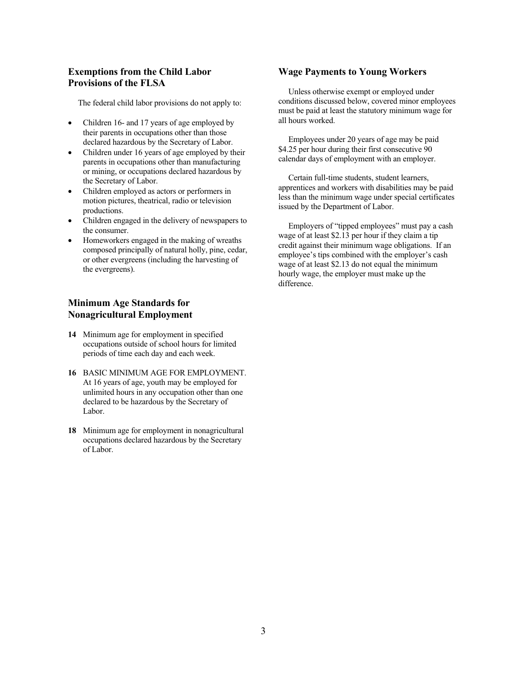### **Exemptions from the Child Labor Provisions of the FLSA**

The federal child labor provisions do not apply to:

- Children 16- and 17 years of age employed by their parents in occupations other than those declared hazardous by the Secretary of Labor.
- Children under 16 years of age employed by their parents in occupations other than manufacturing or mining, or occupations declared hazardous by the Secretary of Labor.
- Children employed as actors or performers in motion pictures, theatrical, radio or television productions.
- Children engaged in the delivery of newspapers to the consumer.
- Homeworkers engaged in the making of wreaths composed principally of natural holly, pine, cedar, or other evergreens (including the harvesting of the evergreens).

### **Minimum Age Standards for Nonagricultural Employment**

- **14** Minimum age for employment in specified occupations outside of school hours for limited periods of time each day and each week.
- **16 BASIC MINIMUM AGE FOR EMPLOYMENT.** At 16 years of age, youth may be employed for unlimited hours in any occupation other than one declared to be hazardous by the Secretary of Labor.
- **18** Minimum age for employment in nonagricultural occupations declared hazardous by the Secretary of Labor.

### **Wage Payments to Young Workers**

Unless otherwise exempt or employed under conditions discussed below, covered minor employees must be paid at least the statutory minimum wage for all hours worked.

Employees under 20 years of age may be paid \$4.25 per hour during their first consecutive 90 calendar days of employment with an employer.

Certain full-time students, student learners, apprentices and workers with disabilities may be paid less than the minimum wage under special certificates issued by the Department of Labor.

Employers of "tipped employees" must pay a cash wage of at least \$2.13 per hour if they claim a tip credit against their minimum wage obligations. If an employee's tips combined with the employer's cash wage of at least \$2.13 do not equal the minimum hourly wage, the employer must make up the difference.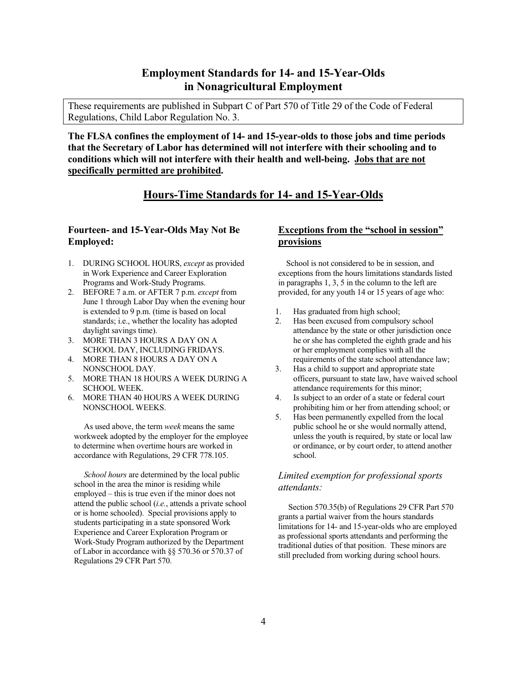# **Employment Standards for 14- and 15-Year-Olds in Nonagricultural Employment**

These requirements are published in Subpart C of Part 570 of Title 29 of the Code of Federal Regulations, Child Labor Regulation No. 3.

**The FLSA confines the employment of 14- and 15-year-olds to those jobs and time periods that the Secretary of Labor has determined will not interfere with their schooling and to conditions which will not interfere with their health and well-being. Jobs that are not specifically permitted are prohibited.**

# **Hours-Time Standards for 14- and 15-Year-Olds**

### **Fourteen- and 15-Year-Olds May Not Be Employed:**

- 1. DURING SCHOOL HOURS, except as provided in Work Experience and Career Exploration Programs and Work-Study Programs.
- 2. BEFORE 7 a.m. or AFTER 7 p.m. except from June 1 through Labor Day when the evening hour is extended to 9 p.m. (time is based on local standards; i.e., whether the locality has adopted daylight savings time).
- 3. MORE THAN 3 HOURS A DAY ON A SCHOOL DAY, INCLUDING FRIDAYS.
- 4. MORE THAN 8 HOURS A DAY ON A NONSCHOOL DAY.
- 5. MORE THAN 18 HOURS A WEEK DURING A **SCHOOL WEEK.**
- 6. MORE THAN 40 HOURS A WEEK DURING NONSCHOOL WEEKS.

As used above, the term week means the same workweek adopted by the employer for the employee to determine when overtime hours are worked in accordance with Regulations, 29 CFR 778.105.

*School hours* are determined by the local public school in the area the minor is residing while  $emploved - this is true even if the minor does not$ attend the public school (*i.e.*, attends a private school or is home schooled). Special provisions apply to students participating in a state sponsored Work Experience and Career Exploration Program or Work-Study Program authorized by the Department of Labor in accordance with  $\S$ § 570.36 or 570.37 of Regulations 29 CFR Part 570.

### **Exceptions from the "school in session" provisions**

School is not considered to be in session, and exceptions from the hours limitations standards listed in paragraphs  $1, 3, 5$  in the column to the left are provided, for any youth 14 or 15 years of age who:

- 1. Has graduated from high school;
- 2. Has been excused from compulsory school attendance by the state or other jurisdiction once he or she has completed the eighth grade and his or her employment complies with all the requirements of the state school attendance law;
- 3. Has a child to support and appropriate state officers, pursuant to state law, have waived school attendance requirements for this minor;
- 4. Is subject to an order of a state or federal court prohibiting him or her from attending school; or
- 5. Has been permanently expelled from the local public school he or she would normally attend, unless the youth is required, by state or local law or ordinance, or by court order, to attend another school.

### *Limited exemption for professional sports attendants:*

Section 570.35(b) of Regulations 29 CFR Part 570 grants a partial waiver from the hours standards limitations for 14- and 15-year-olds who are employed as professional sports attendants and performing the traditional duties of that position. These minors are still precluded from working during school hours.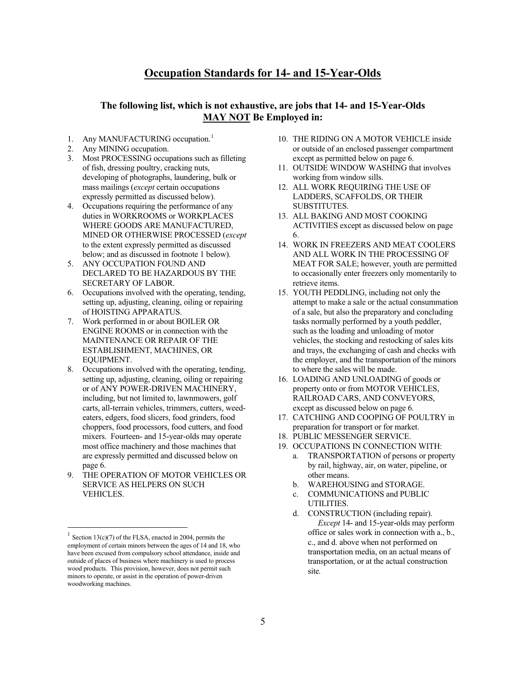# **Occupation Standards for 14- and 15-Year-Olds**

### **The following list, which is not exhaustive, are jobs that 14- and 15-Year-Olds MAY NOT Be Employed in:**

- 1. Any MANUFACTURING occupation.<sup>1</sup>
- 2. Any MINING occupation.
- 3. Most PROCESSING occupations such as filleting of fish, dressing poultry, cracking nuts, developing of photographs, laundering, bulk or mass mailings (except certain occupations expressly permitted as discussed below).
- 4. Occupations requiring the performance of any duties in WORKROOMS or WORKPLACES WHERE GOODS ARE MANUFACTURED, MINED OR OTHERWISE PROCESSED (except to the extent expressly permitted as discussed below; and as discussed in footnote 1 below).
- 5. ANY OCCUPATION FOUND AND DECLARED TO BE HAZARDOUS BY THE SECRETARY OF LABOR.
- 6. Occupations involved with the operating, tending, setting up, adjusting, cleaning, oiling or repairing of HOISTING APPARATUS.
- 7. Work performed in or about BOILER OR ENGINE ROOMS or in connection with the MAINTENANCE OR REPAIR OF THE ESTABLISHMENT, MACHINES, OR EOUIPMENT.
- 8. Occupations involved with the operating, tending, setting up, adjusting, cleaning, oiling or repairing or of ANY POWER-DRIVEN MACHINERY, including, but not limited to, lawnmowers, golf carts, all-terrain vehicles, trimmers, cutters, weedeaters, edgers, food slicers, food grinders, food choppers, food processors, food cutters, and food mixers. Fourteen- and 15-year-olds may operate most office machinery and those machines that are expressly permitted and discussed below on page 6.
- 9. THE OPERATION OF MOTOR VEHICLES OR SERVICE AS HELPERS ON SUCH VEHICLES.

- 10. THE RIDING ON A MOTOR VEHICLE inside or outside of an enclosed passenger compartment except as permitted below on page 6.
- 11. OUTSIDE WINDOW WASHING that involves working from window sills.
- 12. ALL WORK REQUIRING THE USE OF LADDERS, SCAFFOLDS, OR THEIR SUBSTITUTES.
- 13. ALL BAKING AND MOST COOKING ACTIVITIES except as discussed below on page 6.
- 14. WORK IN FREEZERS AND MEAT COOLERS AND ALL WORK IN THE PROCESSING OF MEAT FOR SALE; however, youth are permitted to occasionally enter freezers only momentarily to retrieve items.
- 15. YOUTH PEDDLING, including not only the attempt to make a sale or the actual consummation of a sale, but also the preparatory and concluding tasks normally performed by a youth peddler, such as the loading and unloading of motor vehicles, the stocking and restocking of sales kits and trays, the exchanging of cash and checks with the employer, and the transportation of the minors to where the sales will be made.
- 16. LOADING AND UNLOADING of goods or property onto or from MOTOR VEHICLES, RAILROAD CARS, AND CONVEYORS, except as discussed below on page 6.
- 17. CATCHING AND COOPING OF POULTRY in preparation for transport or for market.
- 18. PUBLIC MESSENGER SERVICE.
- 19. OCCUPATIONS IN CONNECTION WITH:
	- a. TRANSPORTATION of persons or property by rail, highway, air, on water, pipeline, or other means.
	- b. WAREHOUSING and STORAGE.
	- c. COMMUNICATIONS and PUBLIC UTILITIES.
	- d. CONSTRUCTION (including repair). *Except* 14- and 15-year-olds may perform office or sales work in connection with a., b., c., and d. above when not performed on transportation media, on an actual means of transportation, or at the actual construction site.

<sup>&</sup>lt;sup>1</sup> Section 13(c)(7) of the FLSA, enacted in 2004, permits the employment of certain minors between the ages of 14 and 18, who have been excused from compulsory school attendance, inside and outside of places of business where machinery is used to process wood products. This provision, however, does not permit such minors to operate, or assist in the operation of power-driven woodworking machines.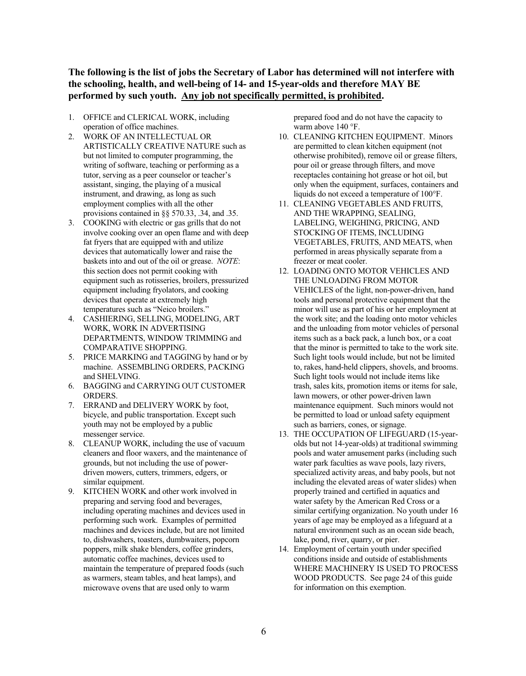**The following is the list of jobs the Secretary of Labor has determined will not interfere with the schooling, health, and well-being of 14- and 15-year-olds and therefore MAY BE performed by such youth. Any job not specifically permitted, is prohibited.**

- 1. OFFICE and CLERICAL WORK, including operation of office machines.
- 2. WORK OF AN INTELLECTUAL OR ARTISTICALLY CREATIVE NATURE such as but not limited to computer programming, the writing of software, teaching or performing as a tutor, serving as a peer counselor or teacher's assistant, singing, the playing of a musical instrument, and drawing, as long as such employment complies with all the other provisions contained in  $\S$ § 570.33, .34, and .35.
- 3. COOKING with electric or gas grills that do not involve cooking over an open flame and with deep fat fryers that are equipped with and utilize devices that automatically lower and raise the baskets into and out of the oil or grease. NOTE: this section does not permit cooking with equipment such as rotisseries, broilers, pressurized equipment including fryolators, and cooking devices that operate at extremely high temperatures such as "Neico broilers."
- 4. CASHIERING, SELLING, MODELING, ART WORK, WORK IN ADVERTISING DEPARTMENTS, WINDOW TRIMMING and COMPARATIVE SHOPPING.
- 5. PRICE MARKING and TAGGING by hand or by machine. ASSEMBLING ORDERS, PACKING and SHELVING.
- 6. BAGGING and CARRYING OUT CUSTOMER ORDERS.
- 7. ERRAND and DELIVERY WORK by foot, bicycle, and public transportation. Except such youth may not be employed by a public messenger service.
- 8. CLEANUP WORK, including the use of vacuum cleaners and floor waxers, and the maintenance of grounds, but not including the use of powerdriven mowers, cutters, trimmers, edgers, or similar equipment.
- 9. KITCHEN WORK and other work involved in preparing and serving food and beverages, including operating machines and devices used in performing such work. Examples of permitted machines and devices include, but are not limited to, dishwashers, toasters, dumbwaiters, popcorn poppers, milk shake blenders, coffee grinders, automatic coffee machines, devices used to maintain the temperature of prepared foods (such as warmers, steam tables, and heat lamps), and microwave ovens that are used only to warm

prepared food and do not have the capacity to warm above  $140^{\circ}$ F.

- 10. CLEANING KITCHEN EQUIPMENT. Minors are permitted to clean kitchen equipment (not otherwise prohibited), remove oil or grease filters, pour oil or grease through filters, and move receptacles containing hot grease or hot oil, but only when the equipment, surfaces, containers and liquids do not exceed a temperature of 100°F.
- 11. CLEANING VEGETABLES AND FRUITS. AND THE WRAPPING, SEALING, LABELING, WEIGHING, PRICING, AND STOCKING OF ITEMS, INCLUDING VEGETABLES, FRUITS, AND MEATS, when performed in areas physically separate from a freezer or meat cooler.
- 12. LOADING ONTO MOTOR VEHICLES AND THE UNLOADING FROM MOTOR VEHICLES of the light, non-power-driven, hand tools and personal protective equipment that the minor will use as part of his or her employment at the work site; and the loading onto motor vehicles and the unloading from motor vehicles of personal items such as a back pack, a lunch box, or a coat that the minor is permitted to take to the work site. Such light tools would include, but not be limited to, rakes, hand-held clippers, shovels, and brooms. Such light tools would not include items like trash, sales kits, promotion items or items for sale, lawn mowers, or other power-driven lawn maintenance equipment. Such minors would not be permitted to load or unload safety equipment such as barriers, cones, or signage.
- 13. THE OCCUPATION OF LIFEGUARD (15-yearolds but not 14-year-olds) at traditional swimming pools and water amusement parks (including such water park faculties as wave pools, lazy rivers, specialized activity areas, and baby pools, but not including the elevated areas of water slides) when properly trained and certified in aquatics and water safety by the American Red Cross or a similar certifying organization. No youth under 16 years of age may be employed as a lifeguard at a natural environment such as an ocean side beach, lake, pond, river, quarry, or pier.
- 14. Employment of certain youth under specified conditions inside and outside of establishments WHERE MACHINERY IS USED TO PROCESS WOOD PRODUCTS. See page 24 of this guide for information on this exemption.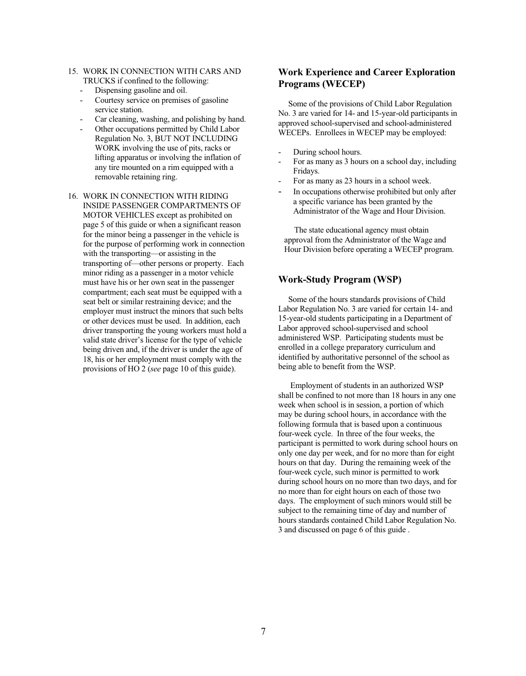- 15. WORK IN CONNECTION WITH CARS AND TRUCKS if confined to the following:
	- Dispensing gasoline and oil.
	- Courtesy service on premises of gasoline service station.
	- Car cleaning, washing, and polishing by hand.
	- Other occupations permitted by Child Labor Regulation No. 3, BUT NOT INCLUDING WORK involving the use of pits, racks or lifting apparatus or involving the inflation of any tire mounted on a rim equipped with a removable retaining ring.
- 16. WORK IN CONNECTION WITH RIDING **INSIDE PASSENGER COMPARTMENTS OF** MOTOR VEHICLES except as prohibited on page 5 of this guide or when a significant reason for the minor being a passenger in the vehicle is for the purpose of performing work in connection with the transporting—or assisting in the transporting of—other persons or property. Each minor riding as a passenger in a motor vehicle must have his or her own seat in the passenger compartment; each seat must be equipped with a seat belt or similar restraining device; and the employer must instruct the minors that such belts or other devices must be used. In addition, each driver transporting the young workers must hold a valid state driver's license for the type of vehicle being driven and, if the driver is under the age of 18, his or her employment must comply with the provisions of HO 2 (see page 10 of this guide).

### **Work Experience and Career Exploration Programs (WECEP)**

Some of the provisions of Child Labor Regulation No. 3 are varied for 14- and 15-year-old participants in approved school-supervised and school-administered WECEPs. Enrollees in WECEP may be employed:

- During school hours.
- For as many as 3 hours on a school day, including Fridays.
- For as many as 23 hours in a school week.  $\overline{a}$
- In occupations otherwise prohibited but only after a specific variance has been granted by the Administrator of the Wage and Hour Division.

The state educational agency must obtain approval from the Administrator of the Wage and Hour Division before operating a WECEP program.

### **Work-Study Program (WSP)**

Some of the hours standards provisions of Child Labor Regulation No. 3 are varied for certain 14- and 15-year-old students participating in a Department of Labor approved school-supervised and school administered WSP. Participating students must be enrolled in a college preparatory curriculum and identified by authoritative personnel of the school as being able to benefit from the WSP.

Employment of students in an authorized WSP shall be confined to not more than 18 hours in any one week when school is in session, a portion of which may be during school hours, in accordance with the following formula that is based upon a continuous four-week cycle. In three of the four weeks, the participant is permitted to work during school hours on only one day per week, and for no more than for eight hours on that day. During the remaining week of the four-week cycle, such minor is permitted to work during school hours on no more than two days, and for no more than for eight hours on each of those two days. The employment of such minors would still be subject to the remaining time of day and number of hours standards contained Child Labor Regulation No. 3 and discussed on page 6 of this guide.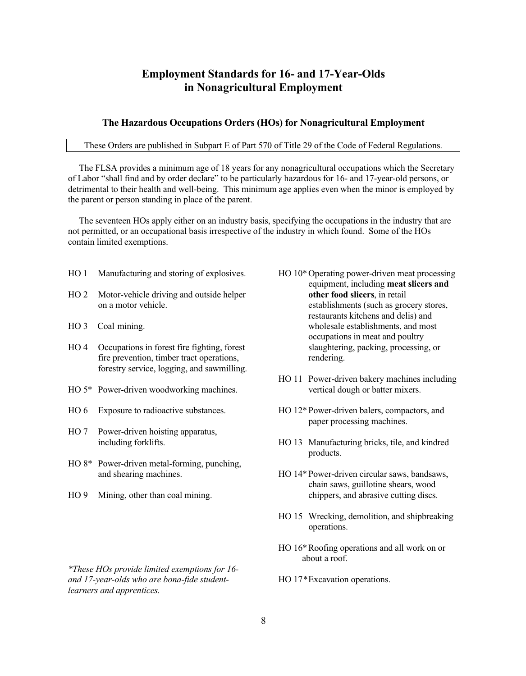# **Employment Standards for 16- and 17-Year-Olds** in Nonagricultural Employment

#### The Hazardous Occupations Orders (HOs) for Nonagricultural Employment

### These Orders are published in Subpart E of Part 570 of Title 29 of the Code of Federal Regulations.

The FLSA provides a minimum age of 18 years for any nonagricultural occupations which the Secretary of Labor "shall find and by order declare" to be particularly hazardous for 16- and 17-year-old persons, or detrimental to their health and well-being. This minimum age applies even when the minor is employed by the parent or person standing in place of the parent.

The seventeen HOs apply either on an industry basis, specifying the occupations in the industry that are not permitted, or an occupational basis irrespective of the industry in which found. Some of the HOs contain limited exemptions.

- $HO<sub>1</sub>$ Manufacturing and storing of explosives.
- HO 2 Motor-vehicle driving and outside helper on a motor vehicle.
- HO 3 Coal mining.
- HO 4 Occupations in forest fire fighting, forest fire prevention, timber tract operations, forestry service, logging, and sawmilling.
- HO 5<sup>\*</sup> Power-driven woodworking machines.
- HO 6 Exposure to radioactive substances.
- HO 7 Power-driven hoisting apparatus, including forklifts.
- HO 8\* Power-driven metal-forming, punching, and shearing machines.
- HO 9 Mining, other than coal mining.

\*These HOs provide limited exemptions for 16and 17-year-olds who are bona-fide studentlearners and apprentices.

- HO 10\* Operating power-driven meat processing equipment, including meat slicers and other food slicers, in retail establishments (such as grocery stores, restaurants kitchens and delis) and wholesale establishments, and most occupations in meat and poultry slaughtering, packing, processing, or rendering.
- HO 11 Power-driven bakery machines including vertical dough or batter mixers.
- HO 12\* Power-driven balers, compactors, and paper processing machines.
- HO 13 Manufacturing bricks, tile, and kindred products.
- HO 14\* Power-driven circular saws, bandsaws, chain saws, guillotine shears, wood chippers, and abrasive cutting discs.
- HO 15 Wrecking, demolition, and shipbreaking operations.
- HO 16<sup>\*</sup> Roofing operations and all work on or about a roof.
- HO 17\*Excavation operations.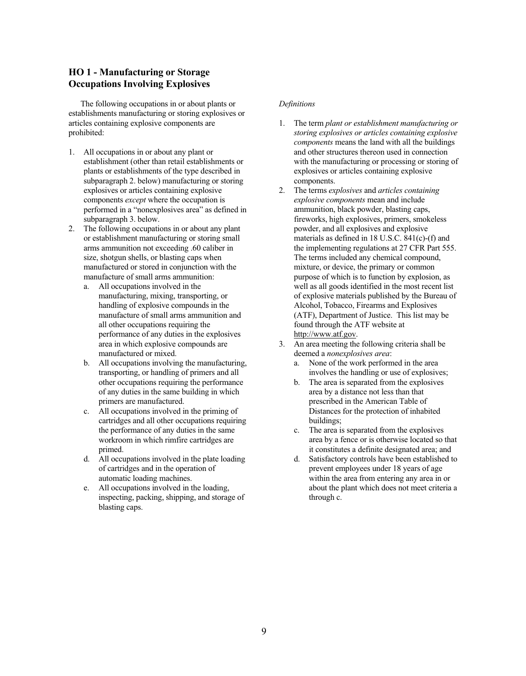### **HO 1 - Manufacturing or Storage Occupations Involving Explosives**

The following occupations in or about plants or establishments manufacturing or storing explosives or articles containing explosive components are prohibited:

- 1. All occupations in or about any plant or establishment (other than retail establishments or plants or establishments of the type described in subparagraph 2. below) manufacturing or storing explosives or articles containing explosive components *except* where the occupation is performed in a "nonexplosives area" as defined in subparagraph 3. below.
- The following occupations in or about any plant 2. or establishment manufacturing or storing small arms ammunition not exceeding .60 caliber in size, shotgun shells, or blasting caps when manufactured or stored in conjunction with the manufacture of small arms ammunition.
	- All occupations involved in the a. manufacturing, mixing, transporting, or handling of explosive compounds in the manufacture of small arms ammunition and all other occupations requiring the performance of any duties in the explosives area in which explosive compounds are manufactured or mixed.
	- b. All occupations involving the manufacturing, transporting, or handling of primers and all other occupations requiring the performance of any duties in the same building in which primers are manufactured.
	- c. All occupations involved in the priming of cartridges and all other occupations requiring the performance of any duties in the same workroom in which rimfire cartridges are primed.
	- d. All occupations involved in the plate loading of cartridges and in the operation of automatic loading machines.
	- e. All occupations involved in the loading, inspecting, packing, shipping, and storage of blasting caps.

- The term plant or establishment manufacturing or  $1_{-}$ storing explosives or articles containing explosive *components* means the land with all the buildings and other structures thereon used in connection with the manufacturing or processing or storing of explosives or articles containing explosive components.
- $2.$ The terms explosives and articles containing explosive components mean and include ammunition, black powder, blasting caps, fireworks, high explosives, primers, smokeless powder, and all explosives and explosive materials as defined in 18 U.S.C. 841(c)-(f) and the implementing regulations at 27 CFR Part 555. The terms included any chemical compound, mixture, or device, the primary or common purpose of which is to function by explosion, as well as all goods identified in the most recent list of explosive materials published by the Bureau of Alcohol, Tobacco, Firearms and Explosives (ATF), Department of Justice. This list may be found through the ATF website at http://www.atf.gov.
- An area meeting the following criteria shall be 3. deemed a *nonexplosives area*:
	- None of the work performed in the area  $a_{\cdot}$ involves the handling or use of explosives;
	- $\mathbf{b}$ . The area is separated from the explosives area by a distance not less than that prescribed in the American Table of Distances for the protection of inhabited buildings:
	- The area is separated from the explosives  $\mathbf{c}$ . area by a fence or is otherwise located so that it constitutes a definite designated area; and
	- Satisfactory controls have been established to d. prevent employees under 18 years of age within the area from entering any area in or about the plant which does not meet criteria a through c.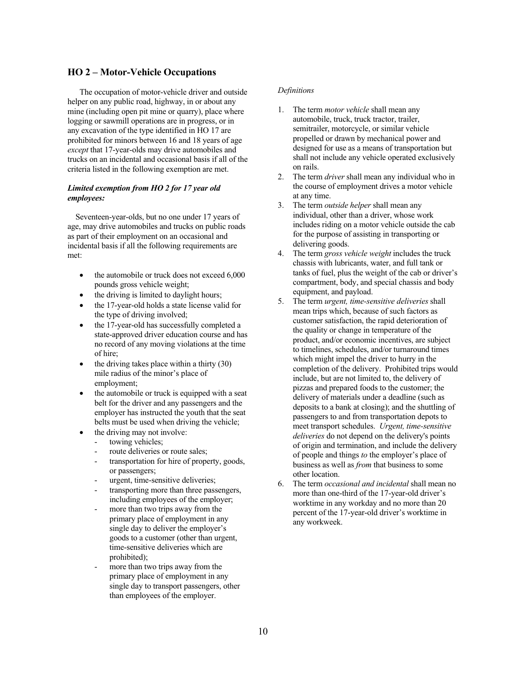### **HO 2 – Motor-Vehicle Occupations**

The occupation of motor-vehicle driver and outside helper on any public road, highway, in or about any mine (including open pit mine or quarry), place where logging or sawmill operations are in progress, or in any excavation of the type identified in HO  $17$  are prohibited for minors between 16 and 18 years of age *except* that 17-year-olds may drive automobiles and trucks on an incidental and occasional basis if all of the criteria listed in the following exemption are met.

#### *Limited exemption from HO 2 for 17 year old employees:*

Seventeen-year-olds, but no one under 17 years of age, may drive automobiles and trucks on public roads as part of their employment on an occasional and incidental basis if all the following requirements are met:

- the automobile or truck does not exceed 6,000 pounds gross vehicle weight;
- the driving is limited to daylight hours;
- the 17-year-old holds a state license valid for the type of driving involved;
- the 17-year-old has successfully completed a state-approved driver education course and has no record of any moving violations at the time of hire:
- the driving takes place within a thirty  $(30)$ mile radius of the minor's place of employment;
- the automobile or truck is equipped with a seat belt for the driver and any passengers and the employer has instructed the youth that the seat belts must be used when driving the vehicle;
- the driving may not involve:
	- towing vehicles:
	- route deliveries or route sales;
	- transportation for hire of property, goods, or passengers;
	- urgent, time-sensitive deliveries;
	- transporting more than three passengers, including employees of the employer;
	- more than two trips away from the primary place of employment in any single day to deliver the employer's goods to a customer (other than urgent, time-sensitive deliveries which are prohibited):
	- more than two trips away from the primary place of employment in any single day to transport passengers, other than employees of the employer.

- 1. The term *motor vehicle* shall mean any automobile, truck, truck tractor, trailer, semitrailer, motorcycle, or similar vehicle propelled or drawn by mechanical power and designed for use as a means of transportation but shall not include any vehicle operated exclusively on rails
- 2. The term *driver* shall mean any individual who in the course of employment drives a motor vehicle at any time.
- 3. The term *outside helper* shall mean any individual, other than a driver, whose work includes riding on a motor vehicle outside the cab for the purpose of assisting in transporting or delivering goods.
- 4. The term gross vehicle weight includes the truck chassis with lubricants, water, and full tank or tanks of fuel, plus the weight of the cab or driver's compartment, body, and special chassis and body equipment, and payload.
- 5. The term *urgent, time-sensitive deliveries* shall mean trips which, because of such factors as customer satisfaction, the rapid deterioration of the quality or change in temperature of the product, and/or economic incentives, are subject to timelines, schedules, and/or turnaround times which might impel the driver to hurry in the completion of the delivery. Prohibited trips would include, but are not limited to, the delivery of pizzas and prepared foods to the customer; the delivery of materials under a deadline (such as deposits to a bank at closing); and the shuttling of passengers to and from transportation depots to meet transport schedules. *Urgent, time-sensitive deliveries* do not depend on the delivery's points of origin and termination, and include the delivery of people and things *to* the employer's place of business as well as *from* that business to some other location.
- 6. The term *occasional and incidental* shall mean no more than one-third of the 17-year-old driver's worktime in any workday and no more than 20 percent of the 17-year-old driver's worktime in any workweek.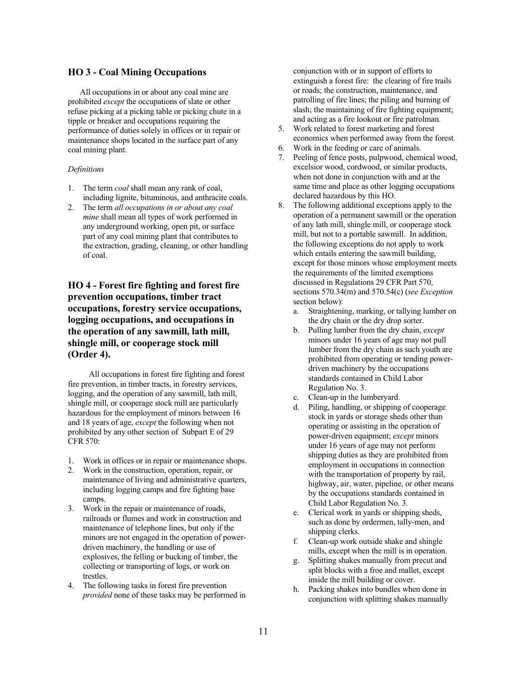### **HO 3 - Coal Mining Occupations**

All occupations in or about any coal mine are prohibited *except* the occupations of slate or other refuse picking at a picking table or picking chute in a tipple or breaker and occupations requiring the performance of duties solely in offices or in repair or maintenance shops located in the surface part of any coal mining plant.

#### *Definitions*

- 1. The term *coal* shall mean any rank of coal. including lignite, bituminous, and anthracite coals.
- 2. The term all occupations in or about any coal *mine* shall mean all types of work performed in any underground working, open pit, or surface part of any coal mining plant that contributes to the extraction, grading, cleaning, or other handling of coal.

### **HO 4 - Forest fire fighting and forest fire prevention occupations, timber tract occupations, forestry service occupations, logging occupations, and occupations in the operation of any sawmill, lath mill, shingle mill, or cooperage stock mill (Order 4).**

All occupations in forest fire fighting and forest fire prevention, in timber tracts, in forestry services, logging, and the operation of any sawmill, lath mill, shingle mill, or cooperage stock mill are particularly hazardous for the employment of minors between 16 and 18 years of age, *except* the following when not prohibited by any other section of Subpart E of 29 CFR 570:

- 1. Work in offices or in repair or maintenance shops.
- 2. Work in the construction, operation, repair, or maintenance of living and administrative quarters, including logging camps and fire fighting base camps.
- 3. Work in the repair or maintenance of roads, railroads or flumes and work in construction and maintenance of telephone lines, but only if the minors are not engaged in the operation of powerdriven machinery, the handling or use of explosives, the felling or bucking of timber, the collecting or transporting of logs, or work on trestles.
- 4. The following tasks in forest fire prevention *provided* none of these tasks may be performed in

conjunction with or in support of efforts to extinguish a forest fire: the clearing of fire trails or roads; the construction, maintenance, and patrolling of fire lines; the piling and burning of slash; the maintaining of fire fighting equipment; and acting as a fire lookout or fire patrolman.

- 5. Work related to forest marketing and forest economics when performed away from the forest.
- 6. Work in the feeding or care of animals.
- 7. Peeling of fence posts, pulpwood, chemical wood. excelsior wood, cordwood, or similar products, when not done in conjunction with and at the same time and place as other logging occupations declared hazardous by this HO.
- 8. The following additional exceptions apply to the operation of a permanent sawmill or the operation of any lath mill, shingle mill, or cooperage stock mill, but not to a portable sawmill. In addition, the following exceptions do not apply to work which entails entering the sawmill building, except for those minors whose employment meets the requirements of the limited exemptions discussed in Regulations 29 CFR Part 570, sections 570.34(m) and 570.54(c) (see Exception section below):
	- a. Straightening, marking, or tallying lumber on the dry chain or the dry drop sorter.
	- b. Pulling lumber from the dry chain, *except* minors under  $16$  years of age may not pull lumber from the dry chain as such youth are prohibited from operating or tending powerdriven machinery by the occupations standards contained in Child Labor Regulation No. 3.
	- c. Clean-up in the lumber yard.
	- d. Piling, handling, or shipping of cooperage stock in yards or storage sheds other than operating or assisting in the operation of power-driven equipment; *except* minors under 16 years of age may not perform shipping duties as they are prohibited from employment in occupations in connection with the transportation of property by rail, highway, air, water, pipeline, or other means by the occupations standards contained in Child Labor Regulation No. 3.
	- e. Clerical work in yards or shipping sheds, such as done by ordermen, tally-men, and shipping clerks.
	- f. Clean-up work outside shake and shingle mills, except when the mill is in operation.
	- g. Splitting shakes manually from precut and split blocks with a froe and mallet, except inside the mill building or cover.
	- h. Packing shakes into bundles when done in conjunction with splitting shakes manually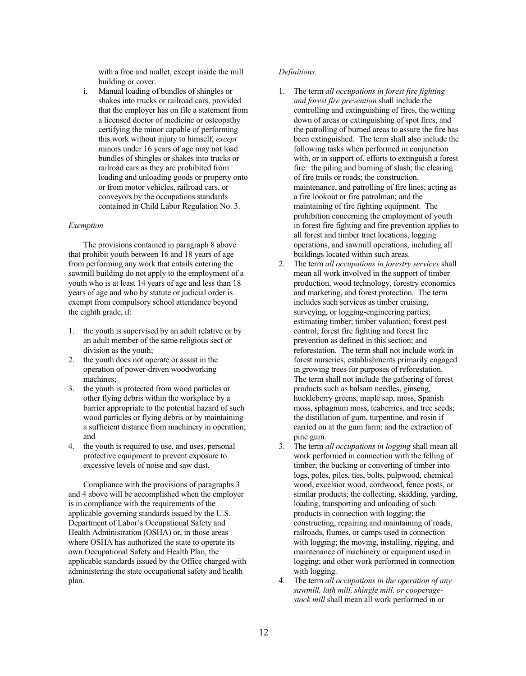with a froe and mallet, except inside the mill building or cover.

Manual loading of bundles of shingles or  $i.$ shakes into trucks or railroad cars, provided that the employer has on file a statement from a licensed doctor of medicine or osteopathy certifying the minor capable of performing this work without injury to himself, except minors under 16 years of age may not load bundles of shingles or shakes into trucks or railroad cars as they are prohibited from loading and unloading goods or property onto or from motor vehicles, railroad cars, or conveyors by the occupations standards contained in Child Labor Regulation No. 3.

#### Exemption

The provisions contained in paragraph 8 above that prohibit youth between 16 and 18 years of age from performing any work that entails entering the sawmill building do not apply to the employment of a youth who is at least 14 years of age and less than 18 years of age and who by statute or judicial order is exempt from compulsory school attendance beyond the eighth grade, if:

- 1. the youth is supervised by an adult relative or by an adult member of the same religious sect or division as the youth;
- 2. the youth does not operate or assist in the operation of power-driven woodworking machines:
- 3. the youth is protected from wood particles or other flying debris within the workplace by a barrier appropriate to the potential hazard of such wood particles or flying debris or by maintaining a sufficient distance from machinery in operation; and
- 4. the youth is required to use, and uses, personal protective equipment to prevent exposure to excessive levels of noise and saw dust.

Compliance with the provisions of paragraphs 3 and 4 above will be accomplished when the employer is in compliance with the requirements of the applicable governing standards issued by the U.S. Department of Labor's Occupational Safety and Health Administration (OSHA) or, in those areas where OSHA has authorized the state to operate its own Occupational Safety and Health Plan, the applicable standards issued by the Office charged with administering the state occupational safety and health plan.

- 1. The term all occupations in forest fire fighting and forest fire prevention shall include the controlling and extinguishing of fires, the wetting down of areas or extinguishing of spot fires, and the patrolling of burned areas to assure the fire has been extinguished. The term shall also include the following tasks when performed in conjunction with, or in support of, efforts to extinguish a forest fire: the piling and burning of slash; the clearing of fire trails or roads; the construction, maintenance, and patrolling of fire lines; acting as a fire lookout or fire patrolman; and the maintaining of fire fighting equipment. The prohibition concerning the employment of youth in forest fire fighting and fire prevention applies to all forest and timber tract locations, logging operations, and sawmill operations, including all buildings located within such areas.
- $2.$ The term all occupations in forestry services shall mean all work involved in the support of timber production, wood technology, forestry economics and marketing, and forest protection. The term includes such services as timber cruising. surveying, or logging-engineering parties; estimating timber; timber valuation; forest pest control; forest fire fighting and forest fire prevention as defined in this section: and reforestation. The term shall not include work in forest nurseries, establishments primarily engaged in growing trees for purposes of reforestation. The term shall not include the gathering of forest products such as balsam needles, ginseng, huckleberry greens, maple sap, moss, Spanish moss, sphagnum moss, teaberries, and tree seeds; the distillation of gum, turpentine, and rosin if carried on at the gum farm; and the extraction of pine gum.
- $3.$ The term *all occupations in logging* shall mean all work performed in connection with the felling of timber; the bucking or converting of timber into logs, poles, piles, ties, bolts, pulpwood, chemical wood, excelsior wood, cordwood, fence posts, or similar products; the collecting, skidding, yarding, loading, transporting and unloading of such products in connection with logging; the constructing, repairing and maintaining of roads. railroads, flumes, or camps used in connection with logging; the moving, installing, rigging, and maintenance of machinery or equipment used in logging; and other work performed in connection with logging.
- $4.$ The term all occupations in the operation of any sawmill, lath mill, shingle mill, or cooperagestock mill shall mean all work performed in or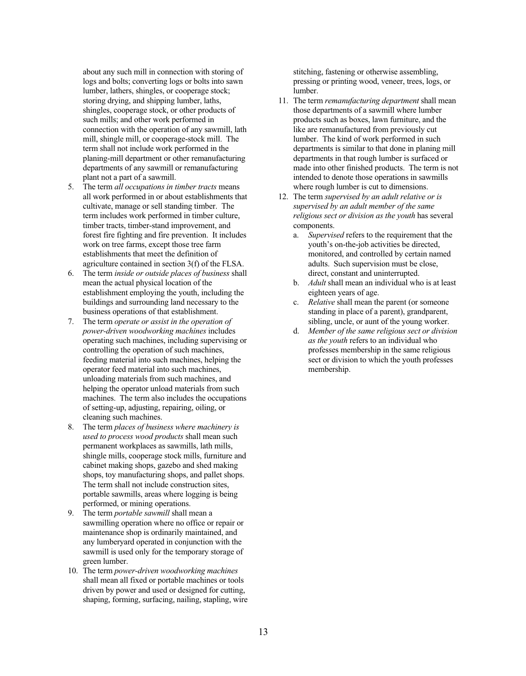about any such mill in connection with storing of logs and bolts; converting logs or bolts into sawn lumber, lathers, shingles, or cooperage stock; storing drying, and shipping lumber, laths, shingles, cooperage stock, or other products of such mills; and other work performed in connection with the operation of any sawmill, lath mill, shingle mill, or cooperage-stock mill. The term shall not include work performed in the planing-mill department or other remanufacturing departments of any sawmill or remanufacturing plant not a part of a sawmill.

- 5. The term *all occupations in timber tracts* means all work performed in or about establishments that cultivate, manage or sell standing timber. The term includes work performed in timber culture, timber tracts, timber-stand improvement, and forest fire fighting and fire prevention. It includes work on tree farms, except those tree farm establishments that meet the definition of agriculture contained in section  $3(f)$  of the FLSA.
- 6. The term inside or outside places of business shall mean the actual physical location of the establishment employing the youth, including the buildings and surrounding land necessary to the business operations of that establishment.
- 7. The term *operate or assist in the operation of power-driven woodworking machines* includes operating such machines, including supervising or controlling the operation of such machines, feeding material into such machines, helping the operator feed material into such machines, unloading materials from such machines, and helping the operator unload materials from such machines. The term also includes the occupations of setting-up, adjusting, repairing, oiling, or cleaning such machines.
- 8. The term *places of business where machinery is used to process wood products* shall mean such permanent workplaces as sawmills, lath mills. shingle mills, cooperage stock mills, furniture and cabinet making shops, gazebo and shed making shops, toy manufacturing shops, and pallet shops. The term shall not include construction sites, portable sawmills, areas where logging is being performed, or mining operations.
- 9. The term *portable sawmill* shall mean a saw milling operation where no office or repair or maintenance shop is ordinarily maintained, and any lumberyard operated in conjunction with the sawmill is used only for the temporary storage of green lumber.
- 10. The term *power-driven woodworking machines* shall mean all fixed or portable machines or tools driven by power and used or designed for cutting, shaping, forming, surfacing, nailing, stapling, wire

stitching, fastening or otherwise assembling, pressing or printing wood, veneer, trees, logs, or lumber.

- 11. The term *remanufacturing department* shall mean those departments of a sawmill where lumber products such as boxes, lawn furniture, and the like are remanufactured from previously cut lumber. The kind of work performed in such departments is similar to that done in planing mill departments in that rough lumber is surfaced or made into other finished products. The term is not intended to denote those operations in sawmills where rough lumber is cut to dimensions.
- 12. The term *supervised by an adult relative or is supervised by an adult member of the same religious sect or division as the youth* has several components.
	- a. Supervised refers to the requirement that the youth's on-the-job activities be directed, monitored, and controlled by certain named adults. Such supervision must be close, direct, constant and uninterrupted.
	- b. *Adult* shall mean an individual who is at least eighteen years of age.
	- c. *Relative* shall mean the parent (or someone standing in place of a parent), grandparent, sibling, uncle, or aunt of the young worker.
	- G *Member of the same religious sect or division as the youth refers to an individual who* professes membership in the same religious sect or division to which the youth professes membership.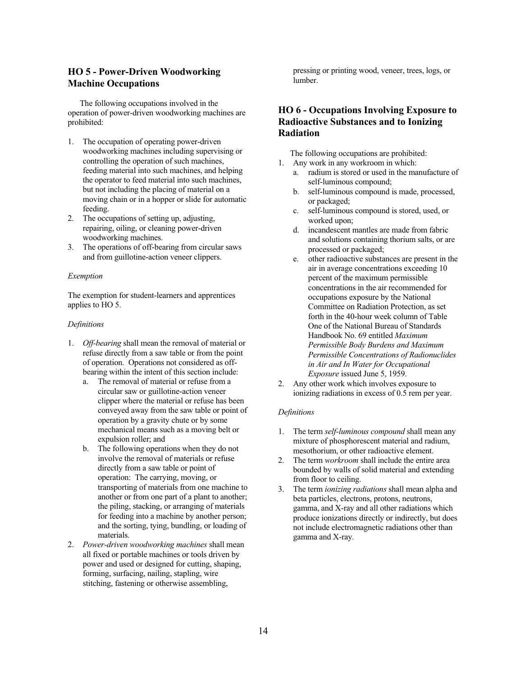### **HO 5 - Power-Driven Woodworking Machine Occupations**

The following occupations involved in the operation of power-driven woodworking machines are prohibited:

- 1. The occupation of operating power-driven woodworking machines including supervising or controlling the operation of such machines, feeding material into such machines, and helping the operator to feed material into such machines. but not including the placing of material on a moving chain or in a hopper or slide for automatic feeding.
- 2. The occupations of setting up, adjusting, repairing, oiling, or cleaning power-driven woodworking machines.
- 3. The operations of off-bearing from circular saws and from guillotine-action veneer clippers.

#### *Exemption*

The exemption for student-learners and apprentices applies to  $HO$  5.

#### *Definitions*

- 1. *Off-bearing* shall mean the removal of material or refuse directly from a saw table or from the point of operation. Operations not considered as offbearing within the intent of this section include:
	- a. The removal of material or refuse from a circular saw or guillotine-action veneer clipper where the material or refuse has been conveyed away from the saw table or point of operation by a gravity chute or by some mechanical means such as a moving belt or expulsion roller; and
	- b. The following operations when they do not involve the removal of materials or refuse directly from a saw table or point of operation: The carrying, moving, or transporting of materials from one machine to another or from one part of a plant to another; the piling, stacking, or arranging of materials for feeding into a machine by another person; and the sorting, tying, bundling, or loading of materials
- 2. Power-driven woodworking machines shall mean all fixed or portable machines or tools driven by power and used or designed for cutting, shaping, forming, surfacing, nailing, stapling, wire stitching, fastening or otherwise assembling,

pressing or printing wood, veneer, trees, logs, or lumber.

### **HO 6 - Occupations Involving Exposure to Radioactive Substances and to Ionizing Radiation**

The following occupations are prohibited:

- $1.$  Any work in any workroom in which:
	- a. radium is stored or used in the manufacture of self-luminous compound;
	- b. self-luminous compound is made, processed, or packaged;
	- c. self-luminous compound is stored, used, or worked upon:
	- d. incandescent mantles are made from fabric and solutions containing thorium salts, or are processed or packaged;
	- e. other radioactive substances are present in the air in average concentrations exceeding 10 percent of the maximum permissible concentrations in the air recommended for occupations exposure by the National Committee on Radiation Protection, as set forth in the 40-hour week column of Table One of the National Bureau of Standards Handbook No. 69 entitled Maximum *Permissible Body Burdens and Maximum Permissible Concentrations of Radionuclides in Air and In Water for Occupational Exposure* issued June 5, 1959.
- 2. Any other work which involves exposure to ionizing radiations in excess of  $0.5$  rem per year.

- 1. The term *self-luminous compound* shall mean any mixture of phosphorescent material and radium, mesothorium, or other radioactive element.
- 2. The term *workroom* shall include the entire area bounded by walls of solid material and extending from floor to ceiling.
- 3. The term *ionizing radiations* shall mean alpha and beta particles, electrons, protons, neutrons, gamma, and X-ray and all other radiations which produce ionizations directly or indirectly, but does not include electromagnetic radiations other than gamma and X-ray.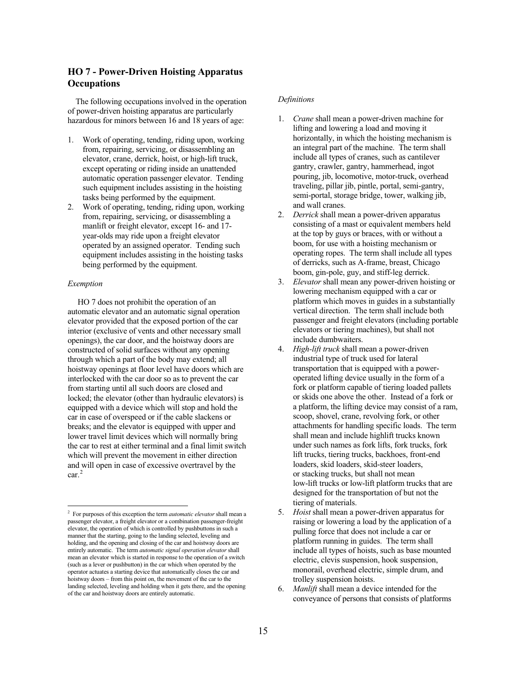### **HO 7 - Power-Driven Hoisting Apparatus Occupations**

The following occupations involved in the operation of power-driven hoisting apparatus are particularly hazardous for minors between 16 and 18 years of age:

- 1. Work of operating, tending, riding upon, working from, repairing, servicing, or disassembling an elevator, crane, derrick, hoist, or high-lift truck, except operating or riding inside an unattended automatic operation passenger elevator. Tending such equipment includes assisting in the hoisting tasks being performed by the equipment.
- 2. Work of operating, tending, riding upon, working from, repairing, servicing, or disassembling a manlift or freight elevator, except 16- and 17year-olds may ride upon a freight elevator operated by an assigned operator. Tending such equipment includes assisting in the hoisting tasks being performed by the equipment.

#### Exemption

HO 7 does not prohibit the operation of an automatic elevator and an automatic signal operation elevator provided that the exposed portion of the car interior (exclusive of vents and other necessary small openings), the car door, and the hoistway doors are constructed of solid surfaces without any opening through which a part of the body may extend; all hoistway openings at floor level have doors which are interlocked with the car door so as to prevent the car from starting until all such doors are closed and locked; the elevator (other than hydraulic elevators) is equipped with a device which will stop and hold the car in case of overspeed or if the cable slackens or breaks; and the elevator is equipped with upper and lower travel limit devices which will normally bring the car to rest at either terminal and a final limit switch which will prevent the movement in either direction and will open in case of excessive overtravel by the  $car.<sup>2</sup>$ 

- Crane shall mean a power-driven machine for 1. lifting and lowering a load and moving it horizontally, in which the hoisting mechanism is an integral part of the machine. The term shall include all types of cranes, such as cantilever gantry, crawler, gantry, hammerhead, ingot pouring, jib, locomotive, motor-truck, overhead traveling, pillar jib, pintle, portal, semi-gantry, semi-portal, storage bridge, tower, walking jib, and wall cranes.
- $2.$ Derrick shall mean a power-driven apparatus consisting of a mast or equivalent members held at the top by guys or braces, with or without a boom, for use with a hoisting mechanism or operating ropes. The term shall include all types of derricks, such as A-frame, breast, Chicago boom, gin-pole, guy, and stiff-leg derrick.
- *Elevator* shall mean any power-driven hoisting or 3. lowering mechanism equipped with a car or platform which moves in guides in a substantially vertical direction. The term shall include both passenger and freight elevators (including portable elevators or tiering machines), but shall not include dumbwaiters.
- 4. *High-lift truck* shall mean a power-driven industrial type of truck used for lateral transportation that is equipped with a poweroperated lifting device usually in the form of a fork or platform capable of tiering loaded pallets or skids one above the other. Instead of a fork or a platform, the lifting device may consist of a ram, scoop, shovel, crane, revolving fork, or other attachments for handling specific loads. The term shall mean and include highlift trucks known under such names as fork lifts, fork trucks, fork lift trucks, tiering trucks, backhoes, front-end loaders, skid loaders, skid-steer loaders, or stacking trucks, but shall not mean low-lift trucks or low-lift platform trucks that are designed for the transportation of but not the tiering of materials.
- Hoist shall mean a power-driven apparatus for 5. raising or lowering a load by the application of a pulling force that does not include a car or platform running in guides. The term shall include all types of hoists, such as base mounted electric, clevis suspension, hook suspension, monorail, overhead electric, simple drum, and trolley suspension hoists.
- 6. Manlift shall mean a device intended for the conveyance of persons that consists of platforms

 $2$  For purposes of this exception the term *automatic elevator* shall mean a passenger elevator, a freight elevator or a combination passenger-freight elevator, the operation of which is controlled by pushbuttons in such a manner that the starting, going to the landing selected, leveling and holding, and the opening and closing of the car and hoistway doors are entirely automatic. The term *automatic signal operation elevator* shall mean an elevator which is started in response to the operation of a switch (such as a lever or pushbutton) in the car which when operated by the operator actuates a starting device that automatically closes the car and hoistway doors – from this point on, the movement of the car to the landing selected, leveling and holding when it gets there, and the opening of the car and hoistway doors are entirely automatic.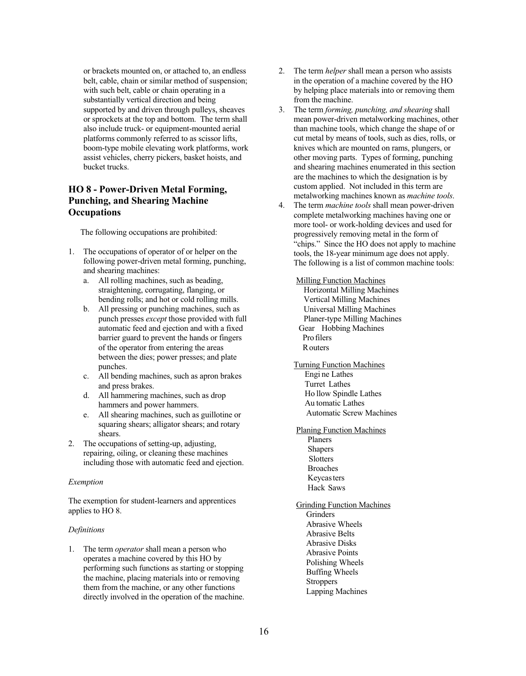or brackets mounted on, or attached to, an endless belt, cable, chain or similar method of suspension; with such belt, cable or chain operating in a substantially vertical direction and being supported by and driven through pulleys, sheaves or sprockets at the top and bottom. The term shall also include truck- or equipment-mounted aerial platforms commonly referred to as scissor lifts, boom-type mobile elevating work platforms, work assist vehicles, cherry pickers, basket hoists, and bucket trucks

### **HO 8 - Power-Driven Metal Forming, Punching, and Shearing Machine Occupations**

The following occupations are prohibited:

- 1. The occupations of operator of or helper on the following power-driven metal forming, punching, and shearing machines:
	- a. All rolling machines, such as beading, straightening, corrugating, flanging, or bending rolls; and hot or cold rolling mills.
	- b. All pressing or punching machines, such as punch presses except those provided with full automatic feed and ejection and with a fixed barrier guard to prevent the hands or fingers of the operator from entering the areas between the dies; power presses; and plate punches.
	- c. All bending machines, such as apron brakes and press brakes.
	- d. All hammering machines, such as drop hammers and power hammers.
	- All shearing machines, such as guillotine or  $e_{-}$ squaring shears; alligator shears; and rotary shears.
- 2. The occupations of setting-up, adjusting, repairing, oiling, or cleaning these machines including those with automatic feed and ejection.

#### Exemption

The exemption for student-learners and apprentices applies to HO 8.

#### Definitions

1. The term *operator* shall mean a person who operates a machine covered by this HO by performing such functions as starting or stopping the machine, placing materials into or removing them from the machine, or any other functions directly involved in the operation of the machine.

- The term *helper* shall mean a person who assists  $2.$ in the operation of a machine covered by the HO by helping place materials into or removing them from the machine.
- The term forming, punching, and shearing shall  $3.$ mean power-driven metalworking machines, other than machine tools, which change the shape of or cut metal by means of tools, such as dies, rolls, or knives which are mounted on rams, plungers, or other moving parts. Types of forming, punching and shearing machines enumerated in this section are the machines to which the designation is by custom applied. Not included in this term are metalworking machines known as *machine tools*.
- The term *machine tools* shall mean power-driven 4. complete metalworking machines having one or more tool- or work-holding devices and used for progressively removing metal in the form of "chips." Since the HO does not apply to machine tools, the 18-year minimum age does not apply. The following is a list of common machine tools:

#### **Milling Function Machines**

**Horizontal Milling Machines Vertical Milling Machines Universal Milling Machines** Planer-type Milling Machines Gear Hobbing Machines Pro filers **R** outers

**Turning Function Machines** Engi ne Lathes Turret Lathes Ho llow Spindle Lathes Au tomatic Lathes **Automatic Screw Machines** 

#### **Planing Function Machines**

Planers **Shapers** Slotters **Broaches** Kevcas ters **Hack Saws** 

#### **Grinding Function Machines** Grinders

**Abrasive Wheels Abrasive Belts Abrasive Disks Abrasive Points** Polishing Wheels **Buffing Wheels Stroppers Lapping Machines**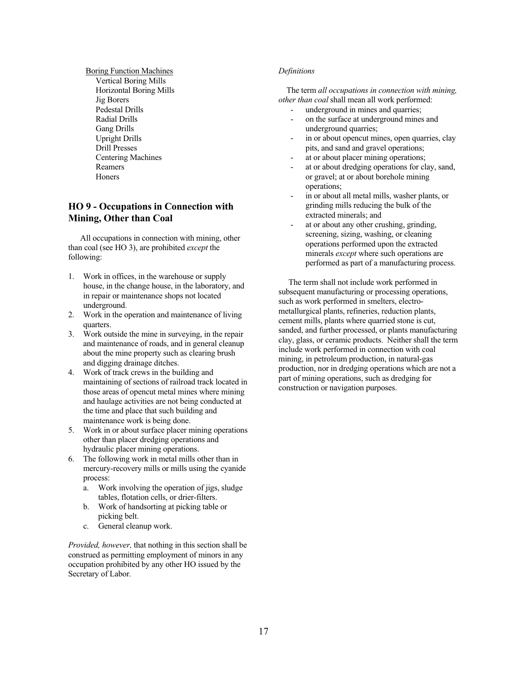Boring Function Machines Vertical Boring Mills Horizontal Boring Mills Jig Borers Pedestal Drills Radial Drills Gang Drills Upright Drills Drill Presses Centering Machines Reamers Honers

### **HO 9 - Occupations in Connection with Mining, Other than Coal**

All occupations in connection with mining, other than coal (see HO 3), are prohibited *except* the following:

- 1. Work in offices, in the warehouse or supply house, in the change house, in the laboratory, and in repair or maintenance shops not located underground.
- 2. Work in the operation and maintenance of living quarters.
- 3. Work outside the mine in surveying, in the repair and maintenance of roads, and in general cleanup about the mine property such as clearing brush and digging drainage ditches.
- 4. Work of track crews in the building and maintaining of sections of railroad track located in those areas of opencut metal mines where mining and haulage activities are not being conducted at the time and place that such building and maintenance work is being done.
- 5. Work in or about surface placer mining operations other than placer dredging operations and hydraulic placer mining operations.
- 6. The following work in metal mills other than in mercury-recovery mills or mills using the cyanide process:
	- a. Work involving the operation of jigs, sludge tables, flotation cells, or drier-filters.
	- b. Work of handsorting at picking table or picking belt.
	- c. General cleanup work.

*Provided, however, that nothing in this section shall be* construed as permitting employment of minors in any occupation prohibited by any other HO issued by the Secretary of Labor.

#### *Definitions*

The term all occupations in connection with mining, *other than coal* shall mean all work performed:

- underground in mines and quarries;
- on the surface at underground mines and underground quarries:
- in or about opencut mines, open quarries, clay pits, and sand and gravel operations;
- at or about placer mining operations:
- at or about dredging operations for clay, sand, or gravel; at or about borehole mining operations:
- in or about all metal mills, washer plants, or grinding mills reducing the bulk of the extracted minerals: and
- at or about any other crushing, grinding, screening, sizing, washing, or cleaning operations performed upon the extracted minerals *except* where such operations are performed as part of a manufacturing process.

The term shall not include work performed in subsequent manufacturing or processing operations. such as work performed in smelters, electrometallurgical plants, refineries, reduction plants, cement mills, plants where quarried stone is cut, sanded, and further processed, or plants manufacturing clay, glass, or ceramic products. Neither shall the term include work performed in connection with coal mining, in petroleum production, in natural-gas production, nor in dredging operations which are not a part of mining operations, such as dredging for construction or navigation purposes.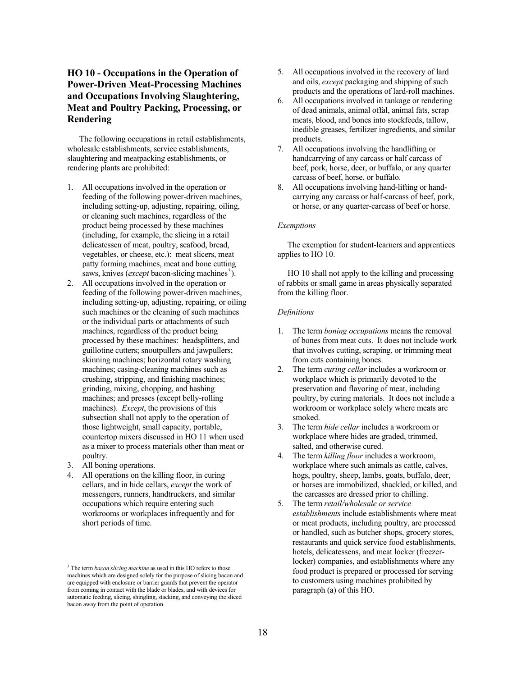### **HO 10 - Occupations in the Operation of Power-Driven Meat-Processing Machines** and Occupations Involving Slaughtering, **Meat and Poultry Packing, Processing, or Rendering**

The following occupations in retail establishments, wholesale establishments, service establishments, slaughtering and meatpacking establishments, or rendering plants are prohibited:

- 1. All occupations involved in the operation or feeding of the following power-driven machines, including setting-up, adjusting, repairing, oiling, or cleaning such machines, regardless of the product being processed by these machines (including, for example, the slicing in a retail delicatessen of meat, poultry, seafood, bread, vegetables, or cheese, etc.): meat slicers, meat patty forming machines, meat and bone cutting saws, knives (*except* bacon-slicing machines<sup>3</sup>).
- 2. All occupations involved in the operation or feeding of the following power-driven machines, including setting-up, adjusting, repairing, or oiling such machines or the cleaning of such machines or the individual parts or attachments of such machines, regardless of the product being processed by these machines: headsplitters, and guillotine cutters; snoutpullers and jawpullers; skinning machines; horizontal rotary washing machines; casing-cleaning machines such as crushing, stripping, and finishing machines; grinding, mixing, chopping, and hashing machines; and presses (except belly-rolling machines). *Except*, the provisions of this subsection shall not apply to the operation of those lightweight, small capacity, portable, countertop mixers discussed in HO 11 when used as a mixer to process materials other than meat or poultry.
- 3. All boning operations.
- 4. All operations on the killing floor, in curing cellars, and in hide cellars, except the work of messengers, runners, handtruckers, and similar occupations which require entering such workrooms or workplaces infrequently and for short periods of time.
- 5. All occupations involved in the recovery of lard and oils, *except* packaging and shipping of such products and the operations of lard-roll machines.
- All occupations involved in tankage or rendering 6. of dead animals, animal offal, animal fats, scrap meats, blood, and bones into stockfeeds, tallow. inedible greases, fertilizer ingredients, and similar products.
- 7. All occupations involving the handlifting or handcarrying of any carcass or half carcass of beef, pork, horse, deer, or buffalo, or any quarter carcass of beef, horse, or buffalo.
- All occupations involving hand-lifting or hand-8. carrying any carcass or half-carcass of beef, pork, or horse, or any quarter-carcass of beef or horse.

#### Exemptions

The exemption for student-learners and apprentices applies to HO 10.

HO 10 shall not apply to the killing and processing of rabbits or small game in areas physically separated from the killing floor.

- The term *boning occupations* means the removal  $1_{-}$ of bones from meat cuts. It does not include work that involves cutting, scraping, or trimming meat from cuts containing bones.
- The term curing cellar includes a workroom or 2. workplace which is primarily devoted to the preservation and flavoring of meat, including poultry, by curing materials. It does not include a workroom or workplace solely where meats are smoked.
- The term hide cellar includes a workroom or 3. workplace where hides are graded, trimmed, salted, and otherwise cured.
- 4. The term killing floor includes a workroom, workplace where such animals as cattle, calves, hogs, poultry, sheep, lambs, goats, buffalo, deer, or horses are immobilized, shackled, or killed, and the carcasses are dressed prior to chilling.
- The term retail/wholesale or service 5. establishments include establishments where meat or meat products, including poultry, are processed or handled, such as butcher shops, grocery stores, restaurants and quick service food establishments, hotels, delicatessens, and meat locker (freezerlocker) companies, and establishments where any food product is prepared or processed for serving to customers using machines prohibited by paragraph (a) of this HO.

 $3$  The term *bacon slicing machine* as used in this HO refers to those machines which are designed solely for the purpose of slicing bacon and are equipped with enclosure or barrier guards that prevent the operator from coming in contact with the blade or blades, and with devices for automatic feeding, slicing, shingling, stacking, and conveying the sliced bacon away from the point of operation.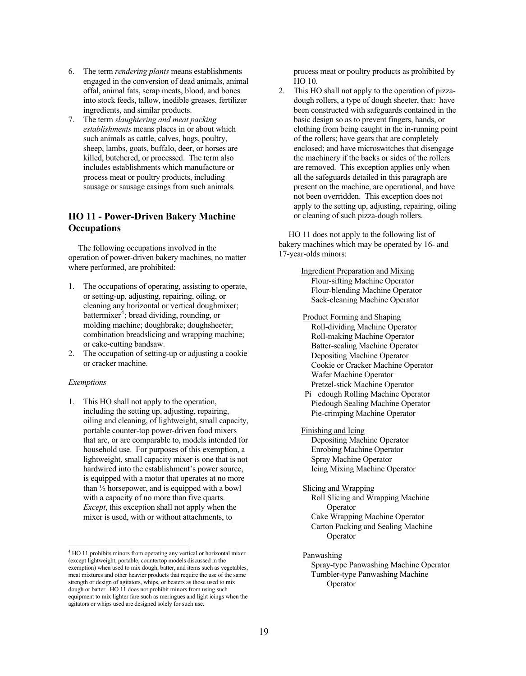- 6. The term *rendering plants* means establishments engaged in the conversion of dead animals, animal offal, animal fats, scrap meats, blood, and bones into stock feeds, tallow, inedible greases, fertilizer ingredients, and similar products.
- 7. The term *slaughtering and meat packing establishments* means places in or about which such animals as cattle, calves, hogs, poultry, sheep, lambs, goats, buffalo, deer, or horses are killed, butchered, or processed. The term also includes establishments which manufacture or process meat or poultry products, including sausage or sausage casings from such animals.

### **HO 11 - Power-Driven Bakery Machine Occupations**

The following occupations involved in the operation of power-driven bakery machines, no matter where performed, are prohibited:

- 1. The occupations of operating, assisting to operate, or setting-up, adjusting, repairing, oiling, or cleaning any horizontal or vertical doughmixer; battermixer<sup>4</sup>; bread dividing, rounding, or molding machine; doughbrake; doughsheeter; combination breadslicing and wrapping machine; or cake-cutting bandsaw.
- 2. The occupation of setting-up or adjusting a cookie or cracker machine.

#### *Exemptions*

1. This HO shall not apply to the operation, including the setting up, adjusting, repairing, oiling and cleaning, of lightweight, small capacity, portable counter-top power-driven food mixers that are, or are comparable to, models intended for household use. For purposes of this exemption, a lightweight, small capacity mixer is one that is not hardwired into the establishment's power source, is equipped with a motor that operates at no more than  $\frac{1}{2}$  horsepower, and is equipped with a bowl with a capacity of no more than five quarts. *Except*, this exception shall not apply when the mixer is used, with or without attachments, to

process meat or poultry products as prohibited by HO 10.

2. This HO shall not apply to the operation of pizzadough rollers, a type of dough sheeter, that: have been constructed with safeguards contained in the basic design so as to prevent fingers, hands, or clothing from being caught in the in-running point of the rollers; have gears that are completely enclosed; and have microswitches that disengage the machinery if the backs or sides of the rollers are removed. This exception applies only when all the safeguards detailed in this paragraph are present on the machine, are operational, and have not been overridden. This exception does not apply to the setting up, adjusting, repairing, oiling or cleaning of such pizza-dough rollers.

 $HO$  11 does not apply to the following list of bakery machines which may be operated by 16- and 17-year-olds minors:

> Ingredient Preparation and Mixing Flour-sifting Machine Operator Flour-blending Machine Operator Sack-cleaning Machine Operator

- Product Forming and Shaping Roll-dividing Machine Operator Roll-making Machine Operator Batter-sealing Machine Operator Depositing Machine Operator Cookie or Cracker Machine Operator Wafer Machine Operator Pretzel-stick Machine Operator
- Pi edough Rolling Machine Operator Piedough Sealing Machine Operator Pie-crimping Machine Operator
- Finishing and Icing Depositing Machine Operator Enrobing Machine Operator Spray Machine Operator Icing Mixing Machine Operator
- Slicing and Wrapping Roll Slicing and Wrapping Machine Operator Cake Wrapping Machine Operator Carton Packing and Sealing Machine Operator
- Panwashing
	- Spray-type Panwashing Machine Operator Tumbler-type Panwashing Machine Operator

<sup>&</sup>lt;sup>4</sup> HO 11 prohibits minors from operating any vertical or horizontal mixer (except lightweight, portable, countertop models discussed in the exemption) when used to mix dough, batter, and items such as vegetables, meat mixtures and other heavier products that require the use of the same strength or design of agitators, whips, or beaters as those used to mix dough or batter. HO 11 does not prohibit minors from using such equipment to mix lighter fare such as meringues and light icings when the agitators or whips used are designed solely for such use.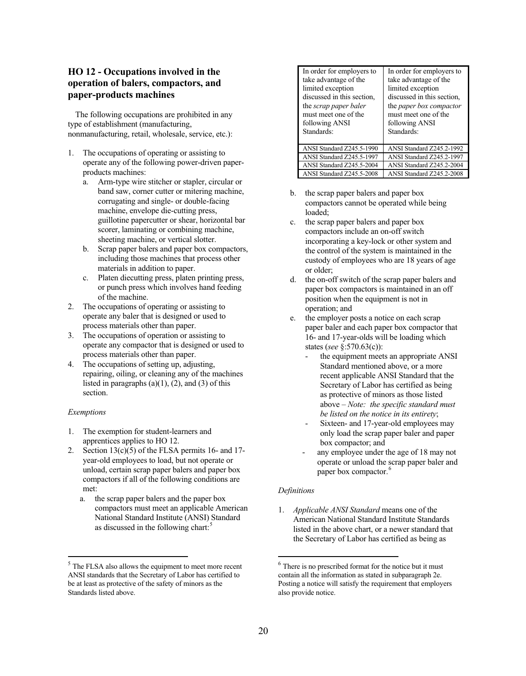### **HO 12 - Occupations involved in the operation of balers, compactors, and paper-products machines**

The following occupations are prohibited in any type of establishment (manufacturing, nonmanufacturing, retail, wholesale, service, etc.):

- 1. The occupations of operating or assisting to operate any of the following power-driven paperproducts machines:
	- a. Arm-type wire stitcher or stapler, circular or band saw, corner cutter or mitering machine, corrugating and single- or double-facing machine, envelope die-cutting press, guillotine papercutter or shear, horizontal bar scorer, laminating or combining machine, sheeting machine, or vertical slotter.
	- b. Scrap paper balers and paper box compactors, including those machines that process other materials in addition to paper.
	- c. Platen diecutting press, platen printing press, or punch press which involves hand feeding of the machine.
- 2. The occupations of operating or assisting to operate any baler that is designed or used to process materials other than paper.
- 3. The occupations of operation or assisting to operate any compactor that is designed or used to process materials other than paper.
- 4. The occupations of setting up, adjusting, repairing, oiling, or cleaning any of the machines listed in paragraphs  $(a)(1)$ ,  $(2)$ , and  $(3)$  of this section.

#### *Exemptions*

- 1. The exemption for student-learners and apprentices applies to HO 12.
- 2. Section  $13(c)(5)$  of the FLSA permits 16- and 17year-old employees to load, but not operate or unload, certain scrap paper balers and paper box compactors if all of the following conditions are met:
	- a. the scrap paper balers and the paper box compactors must meet an applicable American National Standard Institute (ANSI) Standard as discussed in the following chart:<sup>5</sup>

| In order for employers to    | In order for employers to  |
|------------------------------|----------------------------|
| take advantage of the        | take advantage of the      |
| limited exception            | limited exception          |
| discussed in this section,   | discussed in this section, |
| the <i>scrap paper baler</i> | the paper box compactor    |
| must meet one of the         | must meet one of the       |
| following ANSI               | following ANSI             |
| Standards:                   | Standards:                 |
|                              |                            |
| ANSI Standard Z245.5-1990    | ANSI Standard Z245.2-1992  |
| ANSI Standard Z245.5-1997    | ANSI Standard Z245.2-1997  |
| ANSI Standard Z245.5-2004    | ANSI Standard Z245.2-2004  |
| ANSI Standard Z245.5-2008    | ANSI Standard Z245.2-2008  |

- b. the scrap paper balers and paper box compactors cannot be operated while being loaded:
- c. the scrap paper balers and paper box compactors include an on-off switch incorporating a key-lock or other system and the control of the system is maintained in the custody of employees who are 18 years of age or older:
- d. the on-off switch of the scrap paper balers and paper box compactors is maintained in an off position when the equipment is not in operation; and
- e. the employer posts a notice on each scrap paper baler and each paper box compactor that 16- and 17-year-olds will be loading which states (see §:570.63(c)):
	- the equipment meets an appropriate ANSI Standard mentioned above, or a more recent applicable ANSI Standard that the Secretary of Labor has certified as being as protective of minors as those listed above – *Note:* the specific standard must *be listed on the notice in its entirety*
	- Sixteen- and 17-year-old employees may only load the scrap paper baler and paper box compactor; and
	- any employee under the age of  $18 \text{ may not}$ operate or unload the scrap paper baler and paper box compactor.<sup>6</sup>

#### *Definitions*

*Applicable ANSI Standard* means one of the American National Standard Institute Standards listed in the above chart, or a newer standard that the Secretary of Labor has certified as being as

 $<sup>5</sup>$  The FLSA also allows the equipment to meet more recent</sup> ANSI standards that the Secretary of Labor has certified to be at least as protective of the safety of minors as the Standards listed above.

 $<sup>6</sup>$  There is no prescribed format for the notice but it must</sup> contain all the information as stated in subparagraph 2e. Posting a notice will satisfy the requirement that employers also provide notice.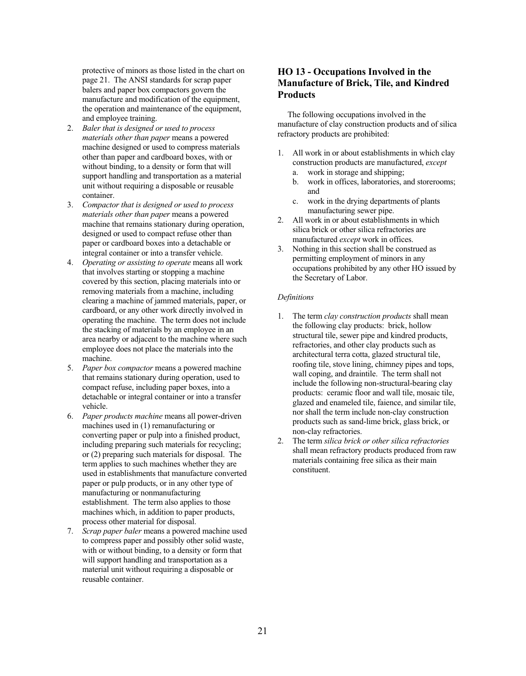protective of minors as those listed in the chart on page 21. The ANSI standards for scrap paper balers and paper box compactors govern the manufacture and modification of the equipment, the operation and maintenance of the equipment, and employee training.

- 2. Baler that is designed or used to process *materials other than paper* means a powered machine designed or used to compress materials other than paper and cardboard boxes, with or without binding, to a density or form that will support handling and transportation as a material unit without requiring a disposable or reusable container.
- 3. Compactor that is designed or used to process materials other than paper means a powered machine that remains stationary during operation, designed or used to compact refuse other than paper or cardboard boxes into a detachable or integral container or into a transfer vehicle.
- 4. Operating or assisting to operate means all work that involves starting or stopping a machine covered by this section, placing materials into or removing materials from a machine, including clearing a machine of jammed materials, paper, or cardboard, or any other work directly involved in operating the machine. The term does not include the stacking of materials by an employee in an area nearby or adjacent to the machine where such employee does not place the materials into the machine.
- 5. Paper box compactor means a powered machine that remains stationary during operation, used to compact refuse, including paper boxes, into a detachable or integral container or into a transfer vehicle.
- 6. Paper products machine means all power-driven machines used in (1) remanufacturing or converting paper or pulp into a finished product, including preparing such materials for recycling; or  $(2)$  preparing such materials for disposal. The term applies to such machines whether they are used in establishments that manufacture converted paper or pulp products, or in any other type of manufacturing or nonmanufacturing establishment. The term also applies to those machines which, in addition to paper products, process other material for disposal.
- 7. Scrap paper baler means a powered machine used to compress paper and possibly other solid waste, with or without binding, to a density or form that will support handling and transportation as a material unit without requiring a disposable or reusable container.

### HO 13 - Occupations Involved in the **Manufacture of Brick, Tile, and Kindred Products**

The following occupations involved in the manufacture of clay construction products and of silica refractory products are prohibited:

- 1. All work in or about establishments in which clay construction products are manufactured, except
	- work in storage and shipping;  $a$
	- work in offices, laboratories, and storerooms;  $b.$ and
	- work in the drying departments of plants  $\mathbf{c}$ . manufacturing sewer pipe.
- $2.$ All work in or about establishments in which silica brick or other silica refractories are manufactured *except* work in offices.
- Nothing in this section shall be construed as  $3.$ permitting employment of minors in any occupations prohibited by any other HO issued by the Secretary of Labor.

- The term *clay construction products* shall mean 1. the following clay products: brick, hollow structural tile, sewer pipe and kindred products, refractories, and other clay products such as architectural terra cotta, glazed structural tile, roofing tile, stove lining, chimney pipes and tops, wall coping, and draintile. The term shall not include the following non-structural-bearing clay products: ceramic floor and wall tile, mosaic tile, glazed and enameled tile, faience, and similar tile, nor shall the term include non-clay construction products such as sand-lime brick, glass brick, or non-clay refractories.
- The term silica brick or other silica refractories  $2.$ shall mean refractory products produced from raw materials containing free silica as their main constituent.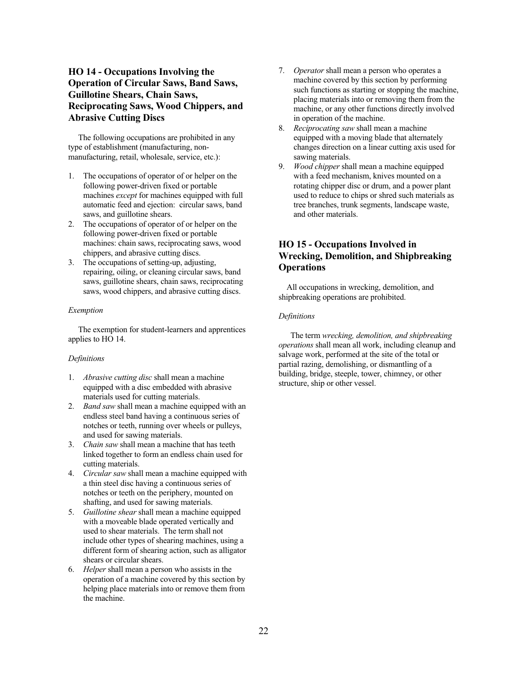### **HO 14 - Occupations Involving the Operation of Circular Saws, Band Saws, Guillotine Shears, Chain Saws, Reciprocating Saws, Wood Chippers, and Abrasive Cutting Discs**

The following occupations are prohibited in any type of establishment (manufacturing, nonmanufacturing, retail, wholesale, service, etc.):

- 1. The occupations of operator of or helper on the following power-driven fixed or portable machines except for machines equipped with full automatic feed and ejection: circular saws, band saws, and guillotine shears.
- 2. The occupations of operator of or helper on the following power-driven fixed or portable machines: chain saws, reciprocating saws, wood chippers, and abrasive cutting discs.
- 3. The occupations of setting-up, adjusting, repairing, oiling, or cleaning circular saws, band saws, guillotine shears, chain saws, reciprocating saws, wood chippers, and abrasive cutting discs.

#### Exemption

The exemption for student-learners and apprentices applies to HO 14.

#### Definitions

- 1. *Abrasive cutting disc* shall mean a machine equipped with a disc embedded with abrasive materials used for cutting materials.
- 2. *Band saw shall mean a machine equipped with an* endless steel band having a continuous series of notches or teeth, running over wheels or pulleys, and used for sawing materials.
- 3. Chain saw shall mean a machine that has teeth linked together to form an endless chain used for cutting materials.
- 4. *Circular saw* shall mean a machine equipped with a thin steel disc having a continuous series of notches or teeth on the periphery, mounted on shafting, and used for sawing materials.
- 5. Guillotine shear shall mean a machine equipped with a moveable blade operated vertically and used to shear materials. The term shall not include other types of shearing machines, using a different form of shearing action, such as alligator shears or circular shears.
- 6. *Helper* shall mean a person who assists in the operation of a machine covered by this section by helping place materials into or remove them from the machine.
- 7. Operator shall mean a person who operates a machine covered by this section by performing such functions as starting or stopping the machine, placing materials into or removing them from the machine, or any other functions directly involved in operation of the machine.
- *Reciprocating saw shall mean a machine* 8. equipped with a moving blade that alternately changes direction on a linear cutting axis used for sawing materials.
- 9. *Wood chipper* shall mean a machine equipped with a feed mechanism, knives mounted on a rotating chipper disc or drum, and a power plant used to reduce to chips or shred such materials as tree branches, trunk segments, landscape waste, and other materials.

### **HO 15 - Occupations Involved in Wrecking, Demolition, and Shipbreaking Operations**

All occupations in wrecking, demolition, and shipbreaking operations are prohibited.

#### Definitions

The term wrecking, demolition, and shipbreaking *operations* shall mean all work, including cleanup and salvage work, performed at the site of the total or partial razing, demolishing, or dismantling of a building, bridge, steeple, tower, chimney, or other structure, ship or other vessel.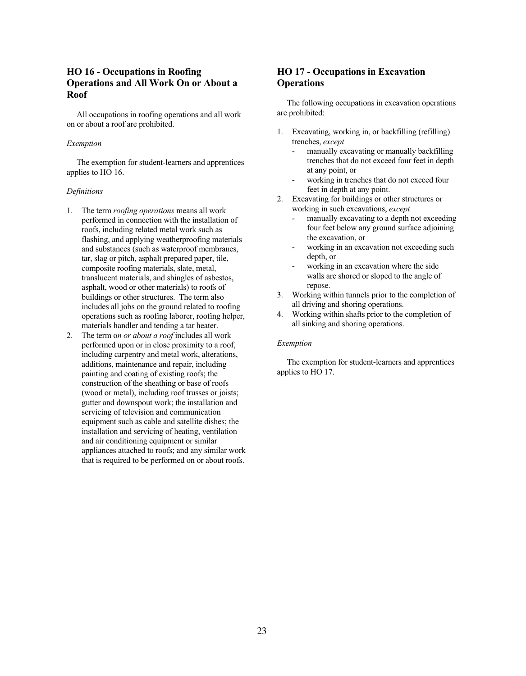### **HO 16 - Occupations in Roofing Operations and All Work On or About a Roof**

All occupations in roofing operations and all work on or about a roof are prohibited.

#### *Exemption*

The exemption for student-learners and apprentices applies to HO 16.

#### *Definitions*

- 1. The term *roofing operations* means all work performed in connection with the installation of roofs, including related metal work such as flashing, and applying weatherproofing materials and substances (such as waterproof membranes, tar, slag or pitch, asphalt prepared paper, tile, composite roofing materials, slate, metal, translucent materials, and shingles of asbestos, asphalt, wood or other materials) to roofs of buildings or other structures. The term also includes all jobs on the ground related to roofing operations such as roofing laborer, roofing helper, materials handler and tending a tar heater.
- 2. The term on or about a roof includes all work performed upon or in close proximity to a roof, including carpentry and metal work, alterations, additions, maintenance and repair, including painting and coating of existing roofs; the construction of the sheathing or base of roofs (wood or metal), including roof trusses or joists; gutter and downspout work; the installation and servicing of television and communication equipment such as cable and satellite dishes; the installation and servicing of heating, ventilation and air conditioning equipment or similar appliances attached to roofs; and any similar work that is required to be performed on or about roofs.

### **HO 17 - Occupations in Excavation Operations**

The following occupations in excavation operations are prohibited:

- 1. Excavating, working in, or backfilling (refilling) trenches, except
	- manually excavating or manually backfilling trenches that do not exceed four feet in depth at any point, or
	- working in trenches that do not exceed four feet in depth at any point.
- 2. Excavating for buildings or other structures or working in such excavations, except
	- manually excavating to a depth not exceeding four feet below any ground surface adjoining the excavation, or
	- working in an excavation not exceeding such depth, or
	- working in an excavation where the side walls are shored or sloped to the angle of repose.
- 3. Working within tunnels prior to the completion of all driving and shoring operations.
- 4. Working within shafts prior to the completion of all sinking and shoring operations.

#### *Exemption*

The exemption for student-learners and apprentices applies to HO 17.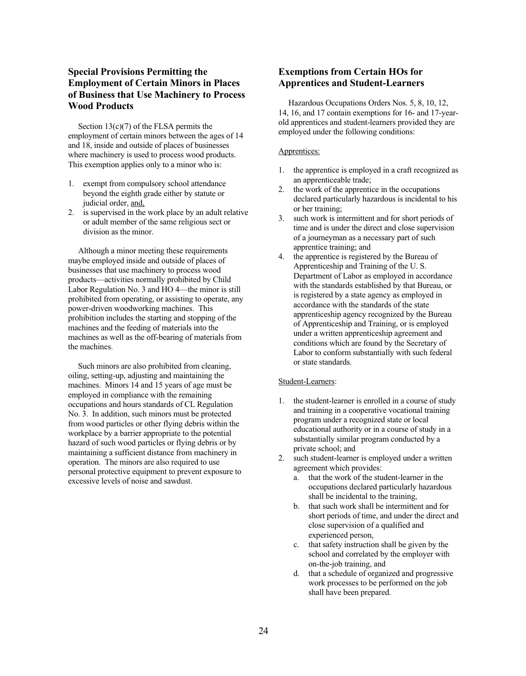### **Special Provisions Permitting the Employment of Certain Minors in Places of Business that Use Machinery to Process Wood Products**

Section  $13(c)(7)$  of the FLSA permits the employment of certain minors between the ages of 14 and 18, inside and outside of places of businesses where machinery is used to process wood products. This exemption applies only to a minor who is:

- 1. exempt from compulsory school attendance beyond the eighth grade either by statute or judicial order, and,
- 2. is supervised in the work place by an adult relative or adult member of the same religious sect or division as the minor.

Although a minor meeting these requirements maybe employed inside and outside of places of businesses that use machinery to process wood products—activities normally prohibited by Child Labor Regulation No. 3 and HO 4—the minor is still prohibited from operating, or assisting to operate, any power-driven woodworking machines. This prohibition includes the starting and stopping of the machines and the feeding of materials into the machines as well as the off-bearing of materials from the machines.

Such minors are also prohibited from cleaning, oiling, setting-up, adjusting and maintaining the machines. Minors 14 and 15 years of age must be employed in compliance with the remaining occupations and hours standards of CL Regulation No. 3. In addition, such minors must be protected from wood particles or other flying debris within the workplace by a barrier appropriate to the potential hazard of such wood particles or flying debris or by maintaining a sufficient distance from machinery in operation. The minors are also required to use personal protective equipment to prevent exposure to excessive levels of noise and sawdust.

### **Exemptions from Certain HOs for Apprentices and Student-Learners**

Hazardous Occupations Orders Nos. 5, 8, 10, 12, 14, 16, and 17 contain exemptions for 16- and 17-yearold apprentices and student-learners provided they are employed under the following conditions:

#### Apprentices:

- 1. the apprentice is employed in a craft recognized as an apprenticeable trade:
- 2. the work of the apprentice in the occupations declared particularly hazardous is incidental to his or her training:
- 3. such work is intermittent and for short periods of time and is under the direct and close supervision of a journeyman as a necessary part of such apprentice training; and
- 4. the apprentice is registered by the Bureau of Apprenticeship and Training of the U.S. Department of Labor as employed in accordance with the standards established by that Bureau, or is registered by a state agency as employed in accordance with the standards of the state apprenticeship agency recognized by the Bureau of Apprenticeship and Training, or is employed under a written apprenticeship agreement and conditions which are found by the Secretary of Labor to conform substantially with such federal or state standards.

#### Student-Learners:

- 1. the student-learner is enrolled in a course of study and training in a cooperative vocational training program under a recognized state or local educational authority or in a course of study in a substantially similar program conducted by a private school; and
- 2. such student-learner is employed under a written agreement which provides:
	- a. that the work of the student-learner in the occupations declared particularly hazardous shall be incidental to the training,
	- b. that such work shall be intermittent and for short periods of time, and under the direct and close supervision of a qualified and experienced person,
	- c. that safety instruction shall be given by the school and correlated by the employer with on-the-job training, and
	- d. that a schedule of organized and progressive work processes to be performed on the job shall have been prepared.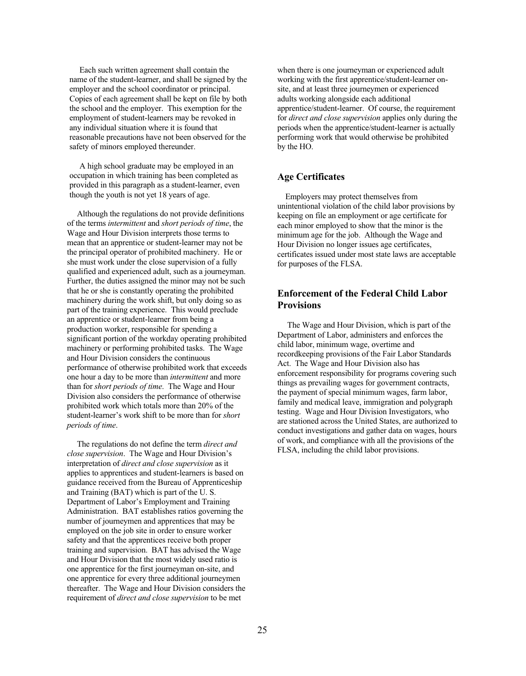Each such written agreement shall contain the name of the student-learner, and shall be signed by the employer and the school coordinator or principal. Copies of each agreement shall be kept on file by both the school and the employer. This exemption for the employment of student-learners may be revoked in any individual situation where it is found that reasonable precautions have not been observed for the safety of minors employed thereunder.

A high school graduate may be employed in an occupation in which training has been completed as provided in this paragraph as a student-learner, even though the youth is not yet 18 years of age.

Although the regulations do not provide definitions of the terms intermittent and short periods of time, the Wage and Hour Division interprets those terms to mean that an apprentice or student-learner may not be the principal operator of prohibited machinery. He or she must work under the close supervision of a fully qualified and experienced adult, such as a journeyman. Further, the duties assigned the minor may not be such that he or she is constantly operating the prohibited machinery during the work shift, but only doing so as part of the training experience. This would preclude an apprentice or student-learner from being a production worker, responsible for spending a significant portion of the workday operating prohibited machinery or performing prohibited tasks. The Wage and Hour Division considers the continuous performance of otherwise prohibited work that exceeds one hour a day to be more than intermittent and more than for *short periods of time*. The Wage and Hour Division also considers the performance of otherwise prohibited work which totals more than 20% of the student-learner's work shift to be more than for *short* periods of time.

The regulations do not define the term direct and close supervision. The Wage and Hour Division's interpretation of *direct and close supervision* as it applies to apprentices and student-learners is based on guidance received from the Bureau of Apprenticeship and Training (BAT) which is part of the U.S. Department of Labor's Employment and Training Administration. BAT establishes ratios governing the number of journeymen and apprentices that may be employed on the job site in order to ensure worker safety and that the apprentices receive both proper training and supervision. BAT has advised the Wage and Hour Division that the most widely used ratio is one apprentice for the first journeyman on-site, and one apprentice for every three additional journeymen thereafter. The Wage and Hour Division considers the requirement of *direct and close supervision* to be met

when there is one journeyman or experienced adult working with the first apprentice/student-learner onsite, and at least three journeymen or experienced adults working alongside each additional apprentice/student-learner. Of course, the requirement for *direct and close supervision* applies only during the periods when the apprentice/student-learner is actually performing work that would otherwise be prohibited by the HO.

### **Age Certificates**

Employers may protect themselves from unintentional violation of the child labor provisions by keeping on file an employment or age certificate for each minor employed to show that the minor is the minimum age for the job. Although the Wage and Hour Division no longer issues age certificates, certificates issued under most state laws are acceptable for purposes of the FLSA.

### **Enforcement of the Federal Child Labor Provisions**

The Wage and Hour Division, which is part of the Department of Labor, administers and enforces the child labor, minimum wage, overtime and recordkeeping provisions of the Fair Labor Standards Act. The Wage and Hour Division also has enforcement responsibility for programs covering such things as prevailing wages for government contracts, the payment of special minimum wages, farm labor, family and medical leave, immigration and polygraph testing. Wage and Hour Division Investigators, who are stationed across the United States, are authorized to conduct investigations and gather data on wages, hours of work, and compliance with all the provisions of the FLSA, including the child labor provisions.